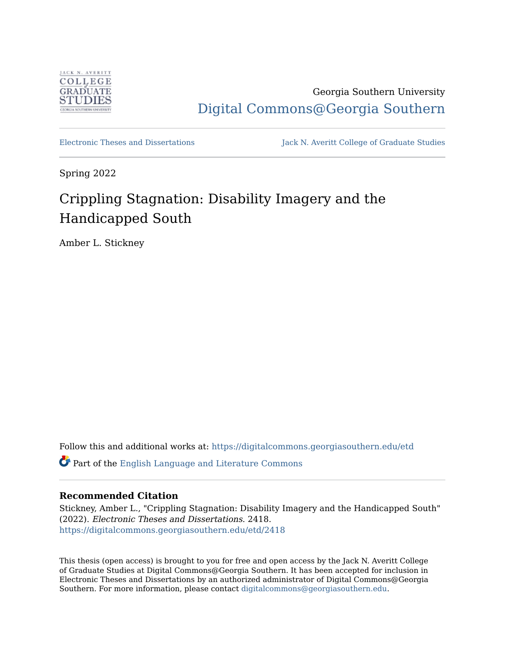

Georgia Southern University [Digital Commons@Georgia Southern](https://digitalcommons.georgiasouthern.edu/) 

[Electronic Theses and Dissertations](https://digitalcommons.georgiasouthern.edu/etd) Jack N. Averitt College of Graduate Studies

Spring 2022

# Crippling Stagnation: Disability Imagery and the Handicapped South

Amber L. Stickney

Follow this and additional works at: [https://digitalcommons.georgiasouthern.edu/etd](https://digitalcommons.georgiasouthern.edu/etd?utm_source=digitalcommons.georgiasouthern.edu%2Fetd%2F2418&utm_medium=PDF&utm_campaign=PDFCoverPages)  Part of the [English Language and Literature Commons](https://network.bepress.com/hgg/discipline/455?utm_source=digitalcommons.georgiasouthern.edu%2Fetd%2F2418&utm_medium=PDF&utm_campaign=PDFCoverPages)

## **Recommended Citation**

Stickney, Amber L., "Crippling Stagnation: Disability Imagery and the Handicapped South" (2022). Electronic Theses and Dissertations. 2418. [https://digitalcommons.georgiasouthern.edu/etd/2418](https://digitalcommons.georgiasouthern.edu/etd/2418?utm_source=digitalcommons.georgiasouthern.edu%2Fetd%2F2418&utm_medium=PDF&utm_campaign=PDFCoverPages) 

This thesis (open access) is brought to you for free and open access by the Jack N. Averitt College of Graduate Studies at Digital Commons@Georgia Southern. It has been accepted for inclusion in Electronic Theses and Dissertations by an authorized administrator of Digital Commons@Georgia Southern. For more information, please contact [digitalcommons@georgiasouthern.edu](mailto:digitalcommons@georgiasouthern.edu).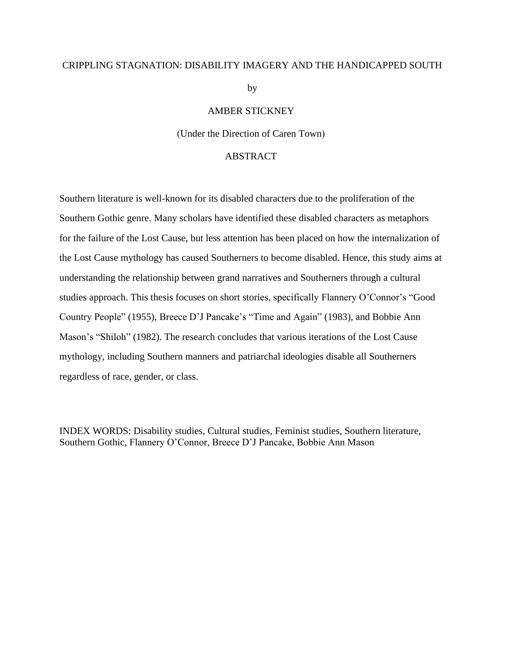## CRIPPLING STAGNATION: DISABILITY IMAGERY AND THE HANDICAPPED SOUTH

by

## AMBER STICKNEY

(Under the Direction of Caren Town)

## ABSTRACT

Southern literature is well-known for its disabled characters due to the proliferation of the Southern Gothic genre. Many scholars have identified these disabled characters as metaphors for the failure of the Lost Cause, but less attention has been placed on how the internalization of the Lost Cause mythology has caused Southerners to become disabled. Hence, this study aims at understanding the relationship between grand narratives and Southerners through a cultural studies approach. This thesis focuses on short stories, specifically Flannery O'Connor's "Good Country People" (1955), Breece D'J Pancake's "Time and Again" (1983), and Bobbie Ann Mason's "Shiloh" (1982). The research concludes that various iterations of the Lost Cause mythology, including Southern manners and patriarchal ideologies disable all Southerners regardless of race, gender, or class.

INDEX WORDS: Disability studies, Cultural studies, Feminist studies, Southern literature, Southern Gothic, Flannery O'Connor, Breece D'J Pancake, Bobbie Ann Mason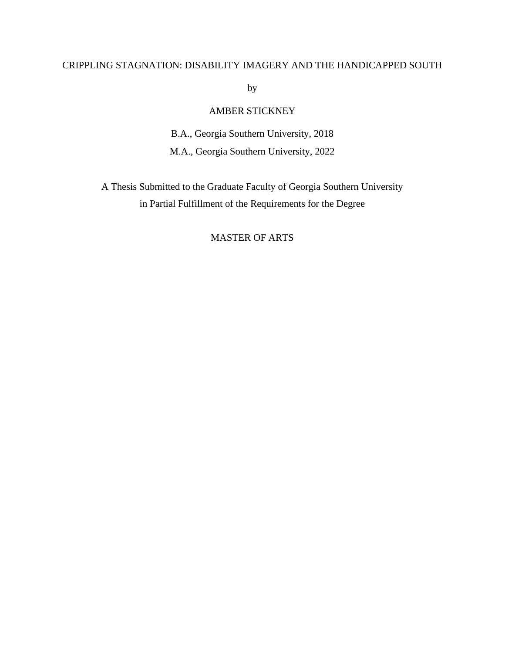## CRIPPLING STAGNATION: DISABILITY IMAGERY AND THE HANDICAPPED SOUTH

by

## AMBER STICKNEY

B.A., Georgia Southern University, 2018 M.A., Georgia Southern University, 2022

A Thesis Submitted to the Graduate Faculty of Georgia Southern University in Partial Fulfillment of the Requirements for the Degree

## MASTER OF ARTS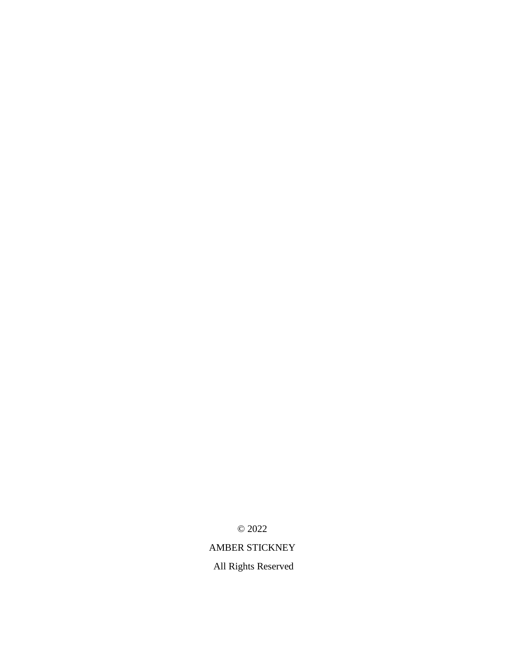© 2022

# AMBER STICKNEY

All Rights Reserved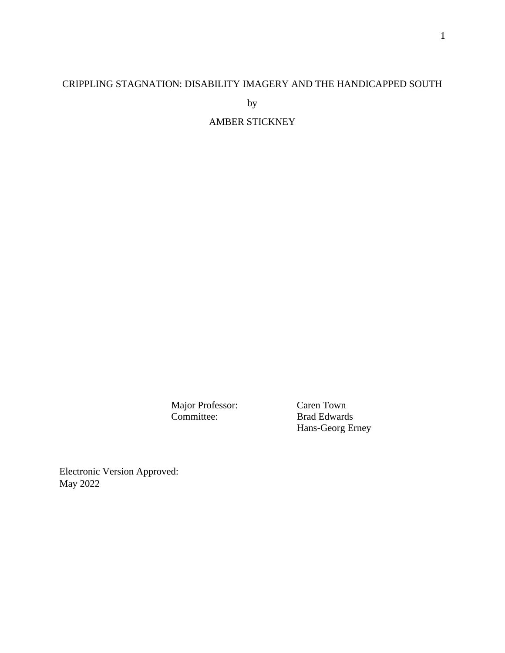# CRIPPLING STAGNATION: DISABILITY IMAGERY AND THE HANDICAPPED SOUTH

by

AMBER STICKNEY

Major Professor: Caren Town Committee: Brad Edwards

Hans-Georg Erney

Electronic Version Approved: May 2022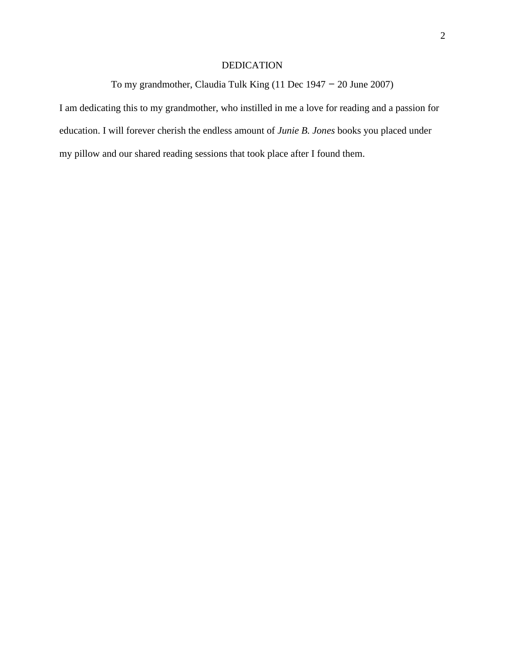## DEDICATION

To my grandmother, Claudia Tulk King (11 Dec 1947 – 20 June 2007)

I am dedicating this to my grandmother, who instilled in me a love for reading and a passion for education. I will forever cherish the endless amount of *Junie B. Jones* books you placed under my pillow and our shared reading sessions that took place after I found them.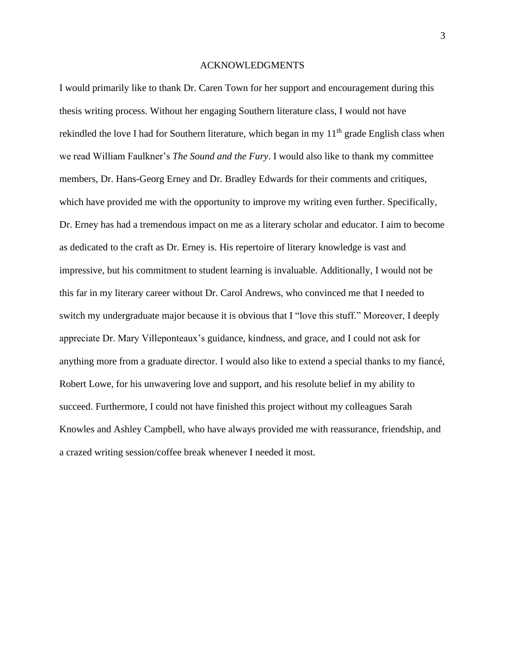### ACKNOWLEDGMENTS

I would primarily like to thank Dr. Caren Town for her support and encouragement during this thesis writing process. Without her engaging Southern literature class, I would not have rekindled the love I had for Southern literature, which began in my  $11<sup>th</sup>$  grade English class when we read William Faulkner's *The Sound and the Fury*. I would also like to thank my committee members, Dr. Hans-Georg Erney and Dr. Bradley Edwards for their comments and critiques, which have provided me with the opportunity to improve my writing even further. Specifically, Dr. Erney has had a tremendous impact on me as a literary scholar and educator. I aim to become as dedicated to the craft as Dr. Erney is. His repertoire of literary knowledge is vast and impressive, but his commitment to student learning is invaluable. Additionally, I would not be this far in my literary career without Dr. Carol Andrews, who convinced me that I needed to switch my undergraduate major because it is obvious that I "love this stuff." Moreover, I deeply appreciate Dr. Mary Villeponteaux's guidance, kindness, and grace, and I could not ask for anything more from a graduate director. I would also like to extend a special thanks to my fiancé, Robert Lowe, for his unwavering love and support, and his resolute belief in my ability to succeed. Furthermore, I could not have finished this project without my colleagues Sarah Knowles and Ashley Campbell, who have always provided me with reassurance, friendship, and a crazed writing session/coffee break whenever I needed it most.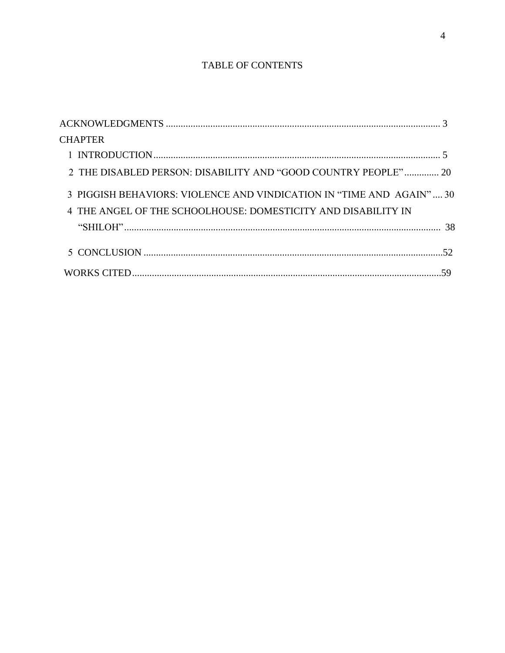# TABLE OF CONTENTS

| <b>CHAPTER</b>                                                      |
|---------------------------------------------------------------------|
|                                                                     |
| 2 THE DISABLED PERSON: DISABILITY AND "GOOD COUNTRY PEOPLE" 20      |
| 3 PIGGISH BEHAVIORS: VIOLENCE AND VINDICATION IN "TIME AND AGAIN"30 |
| 4 THE ANGEL OF THE SCHOOLHOUSE: DOMESTICITY AND DISABILITY IN       |
|                                                                     |
|                                                                     |
|                                                                     |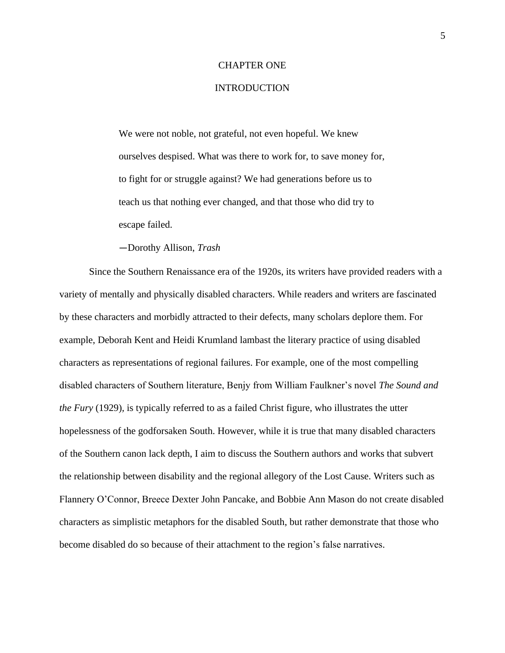### CHAPTER ONE

## **INTRODUCTION**

We were not noble, not grateful, not even hopeful. We knew ourselves despised. What was there to work for, to save money for, to fight for or struggle against? We had generations before us to teach us that nothing ever changed, and that those who did try to escape failed.

—Dorothy Allison, *Trash*

Since the Southern Renaissance era of the 1920s, its writers have provided readers with a variety of mentally and physically disabled characters. While readers and writers are fascinated by these characters and morbidly attracted to their defects, many scholars deplore them. For example, Deborah Kent and Heidi Krumland lambast the literary practice of using disabled characters as representations of regional failures. For example, one of the most compelling disabled characters of Southern literature, Benjy from William Faulkner's novel *The Sound and the Fury* (1929)*,* is typically referred to as a failed Christ figure, who illustrates the utter hopelessness of the godforsaken South. However, while it is true that many disabled characters of the Southern canon lack depth, I aim to discuss the Southern authors and works that subvert the relationship between disability and the regional allegory of the Lost Cause. Writers such as Flannery O'Connor, Breece Dexter John Pancake, and Bobbie Ann Mason do not create disabled characters as simplistic metaphors for the disabled South, but rather demonstrate that those who become disabled do so because of their attachment to the region's false narratives.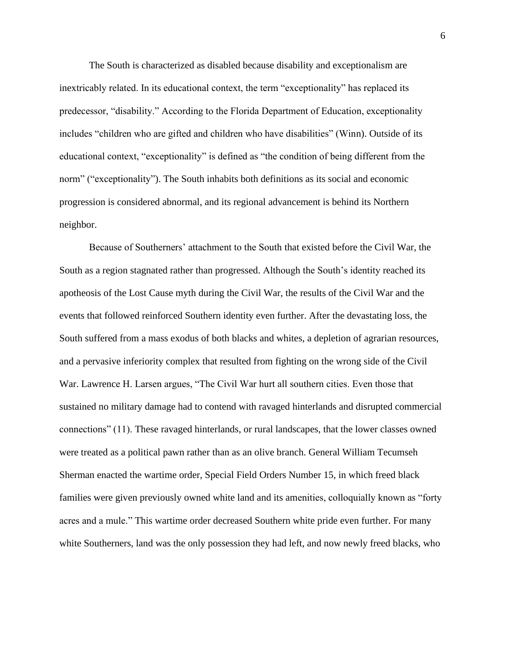The South is characterized as disabled because disability and exceptionalism are inextricably related. In its educational context, the term "exceptionality" has replaced its predecessor, "disability." According to the Florida Department of Education, exceptionality includes "children who are gifted and children who have disabilities" (Winn). Outside of its educational context, "exceptionality" is defined as "the condition of being different from the norm" ("exceptionality"). The South inhabits both definitions as its social and economic progression is considered abnormal, and its regional advancement is behind its Northern neighbor.

Because of Southerners' attachment to the South that existed before the Civil War, the South as a region stagnated rather than progressed. Although the South's identity reached its apotheosis of the Lost Cause myth during the Civil War, the results of the Civil War and the events that followed reinforced Southern identity even further. After the devastating loss, the South suffered from a mass exodus of both blacks and whites, a depletion of agrarian resources, and a pervasive inferiority complex that resulted from fighting on the wrong side of the Civil War. Lawrence H. Larsen argues, "The Civil War hurt all southern cities. Even those that sustained no military damage had to contend with ravaged hinterlands and disrupted commercial connections" (11). These ravaged hinterlands, or rural landscapes, that the lower classes owned were treated as a political pawn rather than as an olive branch. General William Tecumseh Sherman enacted the wartime order, Special Field Orders Number 15, in which freed black families were given previously owned white land and its amenities, colloquially known as "forty acres and a mule." This wartime order decreased Southern white pride even further. For many white Southerners, land was the only possession they had left, and now newly freed blacks, who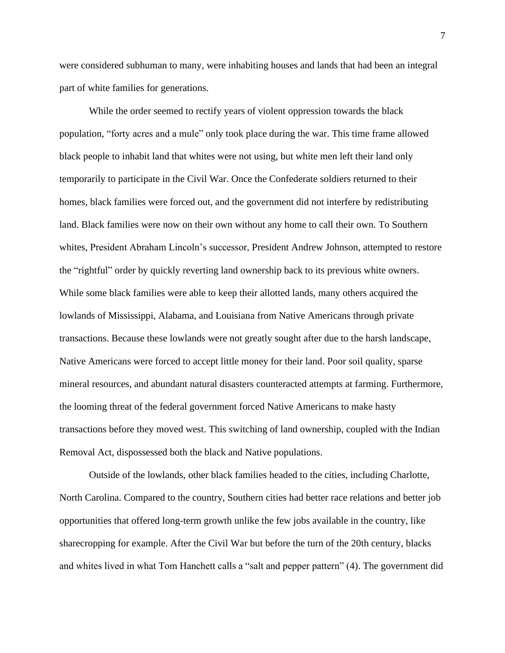were considered subhuman to many, were inhabiting houses and lands that had been an integral part of white families for generations.

While the order seemed to rectify years of violent oppression towards the black population, "forty acres and a mule" only took place during the war. This time frame allowed black people to inhabit land that whites were not using, but white men left their land only temporarily to participate in the Civil War. Once the Confederate soldiers returned to their homes, black families were forced out, and the government did not interfere by redistributing land. Black families were now on their own without any home to call their own. To Southern whites, President Abraham Lincoln's successor, President Andrew Johnson, attempted to restore the "rightful" order by quickly reverting land ownership back to its previous white owners. While some black families were able to keep their allotted lands, many others acquired the lowlands of Mississippi, Alabama, and Louisiana from Native Americans through private transactions. Because these lowlands were not greatly sought after due to the harsh landscape, Native Americans were forced to accept little money for their land. Poor soil quality, sparse mineral resources, and abundant natural disasters counteracted attempts at farming. Furthermore, the looming threat of the federal government forced Native Americans to make hasty transactions before they moved west. This switching of land ownership, coupled with the Indian Removal Act, dispossessed both the black and Native populations.

Outside of the lowlands, other black families headed to the cities, including Charlotte, North Carolina. Compared to the country, Southern cities had better race relations and better job opportunities that offered long-term growth unlike the few jobs available in the country, like sharecropping for example. After the Civil War but before the turn of the 20th century, blacks and whites lived in what Tom Hanchett calls a "salt and pepper pattern" (4). The government did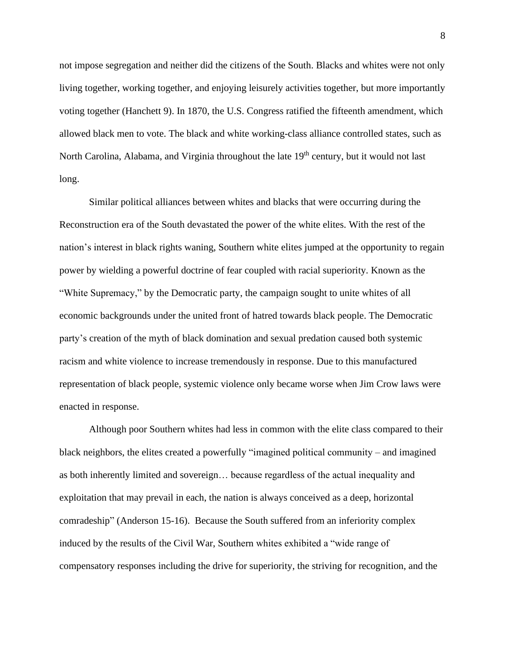not impose segregation and neither did the citizens of the South. Blacks and whites were not only living together, working together, and enjoying leisurely activities together, but more importantly voting together (Hanchett 9). In 1870, the U.S. Congress ratified the fifteenth amendment, which allowed black men to vote. The black and white working-class alliance controlled states, such as North Carolina, Alabama, and Virginia throughout the late 19<sup>th</sup> century, but it would not last long.

Similar political alliances between whites and blacks that were occurring during the Reconstruction era of the South devastated the power of the white elites. With the rest of the nation's interest in black rights waning, Southern white elites jumped at the opportunity to regain power by wielding a powerful doctrine of fear coupled with racial superiority. Known as the "White Supremacy," by the Democratic party, the campaign sought to unite whites of all economic backgrounds under the united front of hatred towards black people. The Democratic party's creation of the myth of black domination and sexual predation caused both systemic racism and white violence to increase tremendously in response. Due to this manufactured representation of black people, systemic violence only became worse when Jim Crow laws were enacted in response.

Although poor Southern whites had less in common with the elite class compared to their black neighbors, the elites created a powerfully "imagined political community – and imagined as both inherently limited and sovereign… because regardless of the actual inequality and exploitation that may prevail in each, the nation is always conceived as a deep, horizontal comradeship" (Anderson 15-16). Because the South suffered from an inferiority complex induced by the results of the Civil War, Southern whites exhibited a "wide range of compensatory responses including the drive for superiority, the striving for recognition, and the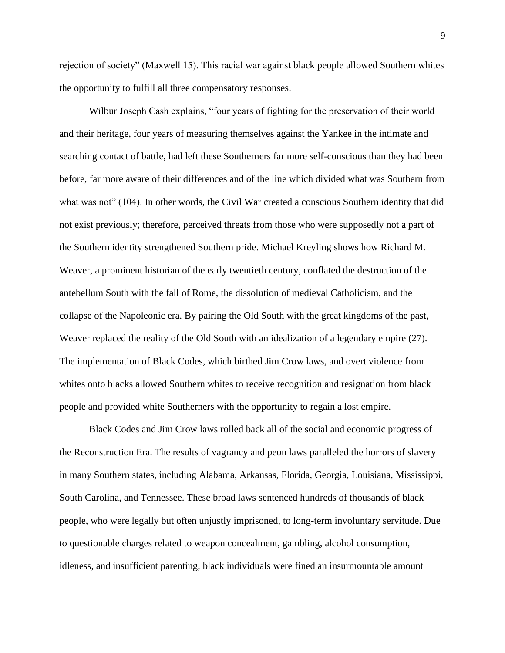rejection of society" (Maxwell 15). This racial war against black people allowed Southern whites the opportunity to fulfill all three compensatory responses.

Wilbur Joseph Cash explains, "four years of fighting for the preservation of their world and their heritage, four years of measuring themselves against the Yankee in the intimate and searching contact of battle, had left these Southerners far more self-conscious than they had been before, far more aware of their differences and of the line which divided what was Southern from what was not" (104). In other words, the Civil War created a conscious Southern identity that did not exist previously; therefore, perceived threats from those who were supposedly not a part of the Southern identity strengthened Southern pride. Michael Kreyling shows how Richard M. Weaver, a prominent historian of the early twentieth century, conflated the destruction of the antebellum South with the fall of Rome, the dissolution of medieval Catholicism, and the collapse of the Napoleonic era. By pairing the Old South with the great kingdoms of the past, Weaver replaced the reality of the Old South with an idealization of a legendary empire (27). The implementation of Black Codes, which birthed Jim Crow laws, and overt violence from whites onto blacks allowed Southern whites to receive recognition and resignation from black people and provided white Southerners with the opportunity to regain a lost empire.

Black Codes and Jim Crow laws rolled back all of the social and economic progress of the Reconstruction Era. The results of vagrancy and peon laws paralleled the horrors of slavery in many Southern states, including Alabama, Arkansas, Florida, Georgia, Louisiana, Mississippi, South Carolina, and Tennessee. These broad laws sentenced hundreds of thousands of black people, who were legally but often unjustly imprisoned, to long-term involuntary servitude. Due to questionable charges related to weapon concealment, gambling, alcohol consumption, idleness, and insufficient parenting, black individuals were fined an insurmountable amount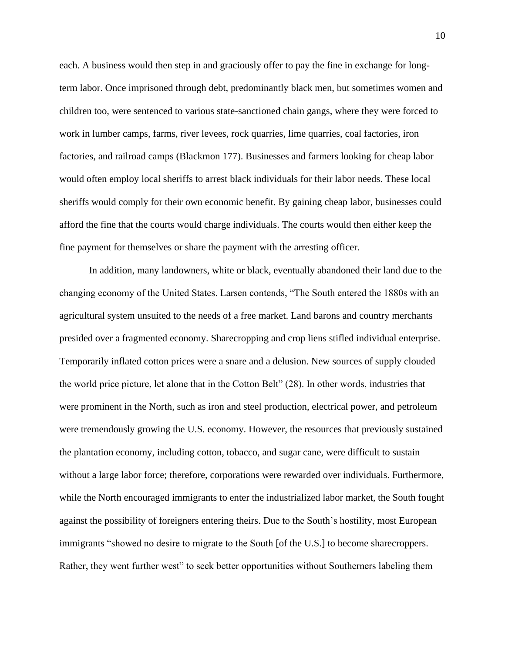each. A business would then step in and graciously offer to pay the fine in exchange for longterm labor. Once imprisoned through debt, predominantly black men, but sometimes women and children too, were sentenced to various state-sanctioned chain gangs, where they were forced to work in lumber camps, farms, river levees, rock quarries, lime quarries, coal factories, iron factories, and railroad camps (Blackmon 177). Businesses and farmers looking for cheap labor would often employ local sheriffs to arrest black individuals for their labor needs. These local sheriffs would comply for their own economic benefit. By gaining cheap labor, businesses could afford the fine that the courts would charge individuals. The courts would then either keep the fine payment for themselves or share the payment with the arresting officer.

In addition, many landowners, white or black, eventually abandoned their land due to the changing economy of the United States. Larsen contends, "The South entered the 1880s with an agricultural system unsuited to the needs of a free market. Land barons and country merchants presided over a fragmented economy. Sharecropping and crop liens stifled individual enterprise. Temporarily inflated cotton prices were a snare and a delusion. New sources of supply clouded the world price picture, let alone that in the Cotton Belt" (28). In other words, industries that were prominent in the North, such as iron and steel production, electrical power, and petroleum were tremendously growing the U.S. economy. However, the resources that previously sustained the plantation economy, including cotton, tobacco, and sugar cane, were difficult to sustain without a large labor force; therefore, corporations were rewarded over individuals. Furthermore, while the North encouraged immigrants to enter the industrialized labor market, the South fought against the possibility of foreigners entering theirs. Due to the South's hostility, most European immigrants "showed no desire to migrate to the South [of the U.S.] to become sharecroppers. Rather, they went further west" to seek better opportunities without Southerners labeling them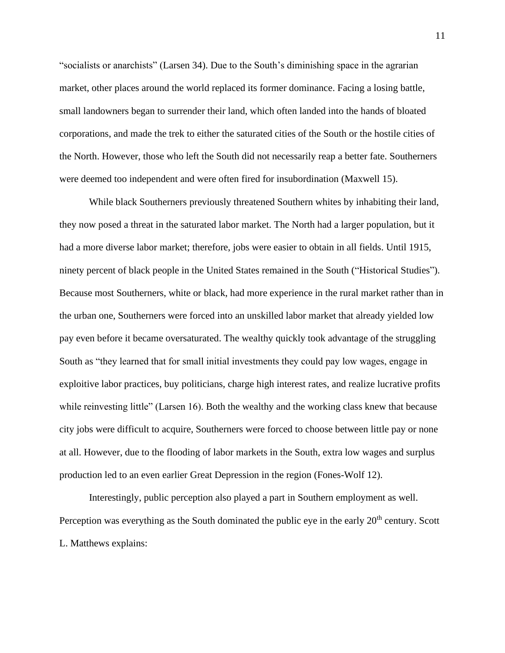"socialists or anarchists" (Larsen 34). Due to the South's diminishing space in the agrarian market, other places around the world replaced its former dominance. Facing a losing battle, small landowners began to surrender their land, which often landed into the hands of bloated corporations, and made the trek to either the saturated cities of the South or the hostile cities of the North. However, those who left the South did not necessarily reap a better fate. Southerners were deemed too independent and were often fired for insubordination (Maxwell 15).

While black Southerners previously threatened Southern whites by inhabiting their land, they now posed a threat in the saturated labor market. The North had a larger population, but it had a more diverse labor market; therefore, jobs were easier to obtain in all fields. Until 1915, ninety percent of black people in the United States remained in the South ("Historical Studies"). Because most Southerners, white or black, had more experience in the rural market rather than in the urban one, Southerners were forced into an unskilled labor market that already yielded low pay even before it became oversaturated. The wealthy quickly took advantage of the struggling South as "they learned that for small initial investments they could pay low wages, engage in exploitive labor practices, buy politicians, charge high interest rates, and realize lucrative profits while reinvesting little" (Larsen 16). Both the wealthy and the working class knew that because city jobs were difficult to acquire, Southerners were forced to choose between little pay or none at all. However, due to the flooding of labor markets in the South, extra low wages and surplus production led to an even earlier Great Depression in the region (Fones-Wolf 12).

Interestingly, public perception also played a part in Southern employment as well. Perception was everything as the South dominated the public eye in the early  $20<sup>th</sup>$  century. Scott L. Matthews explains: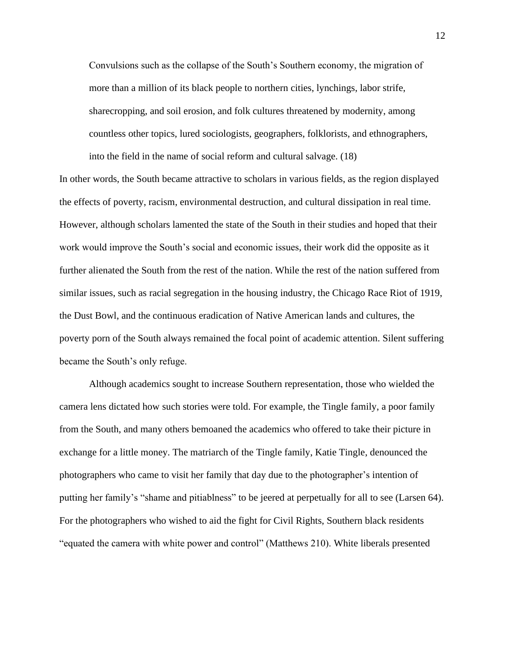Convulsions such as the collapse of the South's Southern economy, the migration of more than a million of its black people to northern cities, lynchings, labor strife, sharecropping, and soil erosion, and folk cultures threatened by modernity, among countless other topics, lured sociologists, geographers, folklorists, and ethnographers, into the field in the name of social reform and cultural salvage. (18)

In other words, the South became attractive to scholars in various fields, as the region displayed the effects of poverty, racism, environmental destruction, and cultural dissipation in real time. However, although scholars lamented the state of the South in their studies and hoped that their work would improve the South's social and economic issues, their work did the opposite as it further alienated the South from the rest of the nation. While the rest of the nation suffered from similar issues, such as racial segregation in the housing industry, the Chicago Race Riot of 1919, the Dust Bowl, and the continuous eradication of Native American lands and cultures, the poverty porn of the South always remained the focal point of academic attention. Silent suffering became the South's only refuge.

Although academics sought to increase Southern representation, those who wielded the camera lens dictated how such stories were told. For example, the Tingle family, a poor family from the South, and many others bemoaned the academics who offered to take their picture in exchange for a little money. The matriarch of the Tingle family, Katie Tingle, denounced the photographers who came to visit her family that day due to the photographer's intention of putting her family's "shame and pitiablness" to be jeered at perpetually for all to see (Larsen 64). For the photographers who wished to aid the fight for Civil Rights, Southern black residents "equated the camera with white power and control" (Matthews 210). White liberals presented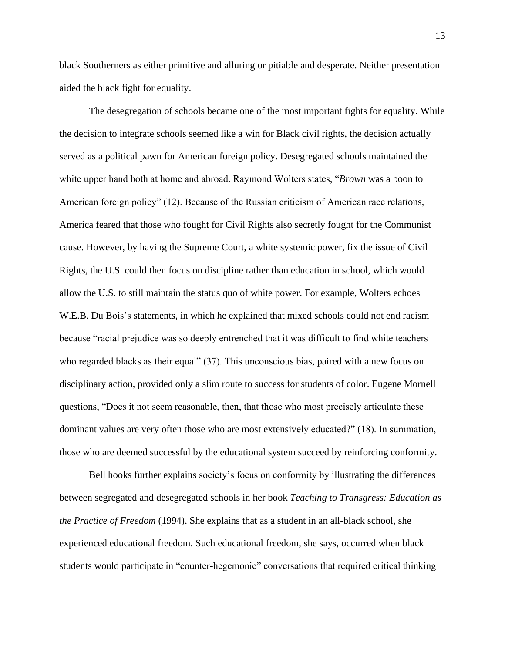black Southerners as either primitive and alluring or pitiable and desperate. Neither presentation aided the black fight for equality.

The desegregation of schools became one of the most important fights for equality. While the decision to integrate schools seemed like a win for Black civil rights, the decision actually served as a political pawn for American foreign policy. Desegregated schools maintained the white upper hand both at home and abroad. Raymond Wolters states, "*Brown* was a boon to American foreign policy" (12). Because of the Russian criticism of American race relations, America feared that those who fought for Civil Rights also secretly fought for the Communist cause. However, by having the Supreme Court, a white systemic power, fix the issue of Civil Rights, the U.S. could then focus on discipline rather than education in school, which would allow the U.S. to still maintain the status quo of white power. For example, Wolters echoes W.E.B. Du Bois's statements, in which he explained that mixed schools could not end racism because "racial prejudice was so deeply entrenched that it was difficult to find white teachers who regarded blacks as their equal" (37). This unconscious bias, paired with a new focus on disciplinary action, provided only a slim route to success for students of color. Eugene Mornell questions, "Does it not seem reasonable, then, that those who most precisely articulate these dominant values are very often those who are most extensively educated?" (18). In summation, those who are deemed successful by the educational system succeed by reinforcing conformity.

Bell hooks further explains society's focus on conformity by illustrating the differences between segregated and desegregated schools in her book *Teaching to Transgress: Education as the Practice of Freedom* (1994). She explains that as a student in an all-black school, she experienced educational freedom. Such educational freedom, she says, occurred when black students would participate in "counter-hegemonic" conversations that required critical thinking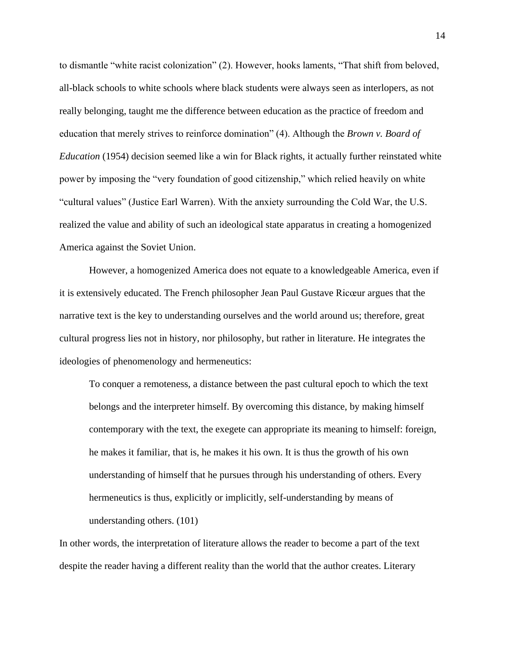to dismantle "white racist colonization" (2). However, hooks laments, "That shift from beloved, all-black schools to white schools where black students were always seen as interlopers, as not really belonging, taught me the difference between education as the practice of freedom and education that merely strives to reinforce domination" (4). Although the *Brown v. Board of Education* (1954) decision seemed like a win for Black rights, it actually further reinstated white power by imposing the "very foundation of good citizenship," which relied heavily on white "cultural values" (Justice Earl Warren). With the anxiety surrounding the Cold War, the U.S. realized the value and ability of such an ideological state apparatus in creating a homogenized America against the Soviet Union.

However, a homogenized America does not equate to a knowledgeable America, even if it is extensively educated. The French philosopher Jean Paul Gustave Ricœur argues that the narrative text is the key to understanding ourselves and the world around us; therefore, great cultural progress lies not in history, nor philosophy, but rather in literature. He integrates the ideologies of phenomenology and hermeneutics:

To conquer a remoteness, a distance between the past cultural epoch to which the text belongs and the interpreter himself. By overcoming this distance, by making himself contemporary with the text, the exegete can appropriate its meaning to himself: foreign, he makes it familiar, that is, he makes it his own. It is thus the growth of his own understanding of himself that he pursues through his understanding of others. Every hermeneutics is thus, explicitly or implicitly, self-understanding by means of understanding others. (101)

In other words, the interpretation of literature allows the reader to become a part of the text despite the reader having a different reality than the world that the author creates. Literary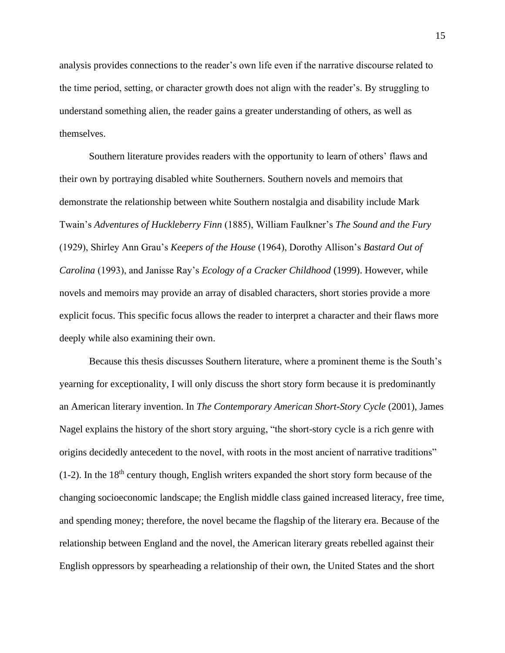analysis provides connections to the reader's own life even if the narrative discourse related to the time period, setting, or character growth does not align with the reader's. By struggling to understand something alien, the reader gains a greater understanding of others, as well as themselves.

Southern literature provides readers with the opportunity to learn of others' flaws and their own by portraying disabled white Southerners. Southern novels and memoirs that demonstrate the relationship between white Southern nostalgia and disability include Mark Twain's *Adventures of Huckleberry Finn* (1885), William Faulkner's *The Sound and the Fury*  (1929), Shirley Ann Grau's *Keepers of the House* (1964), Dorothy Allison's *Bastard Out of Carolina* (1993), and Janisse Ray's *Ecology of a Cracker Childhood* (1999). However, while novels and memoirs may provide an array of disabled characters, short stories provide a more explicit focus. This specific focus allows the reader to interpret a character and their flaws more deeply while also examining their own.

Because this thesis discusses Southern literature, where a prominent theme is the South's yearning for exceptionality, I will only discuss the short story form because it is predominantly an American literary invention. In *The Contemporary American Short-Story Cycle* (2001), James Nagel explains the history of the short story arguing, "the short-story cycle is a rich genre with origins decidedly antecedent to the novel, with roots in the most ancient of narrative traditions"  $(1-2)$ . In the 18<sup>th</sup> century though, English writers expanded the short story form because of the changing socioeconomic landscape; the English middle class gained increased literacy, free time, and spending money; therefore, the novel became the flagship of the literary era. Because of the relationship between England and the novel, the American literary greats rebelled against their English oppressors by spearheading a relationship of their own, the United States and the short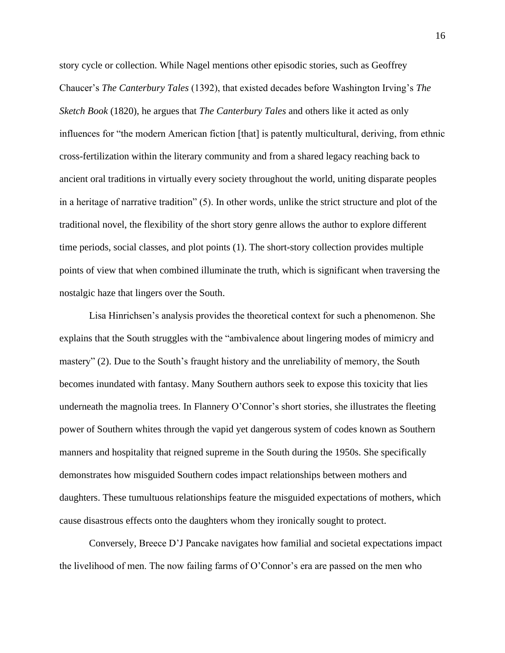story cycle or collection. While Nagel mentions other episodic stories, such as Geoffrey Chaucer's *The Canterbury Tales* (1392), that existed decades before Washington Irving's *The Sketch Book* (1820), he argues that *The Canterbury Tales* and others like it acted as only influences for "the modern American fiction [that] is patently multicultural, deriving, from ethnic cross-fertilization within the literary community and from a shared legacy reaching back to ancient oral traditions in virtually every society throughout the world, uniting disparate peoples in a heritage of narrative tradition" (5). In other words, unlike the strict structure and plot of the traditional novel, the flexibility of the short story genre allows the author to explore different time periods, social classes, and plot points (1). The short-story collection provides multiple points of view that when combined illuminate the truth, which is significant when traversing the nostalgic haze that lingers over the South.

Lisa Hinrichsen's analysis provides the theoretical context for such a phenomenon. She explains that the South struggles with the "ambivalence about lingering modes of mimicry and mastery" (2). Due to the South's fraught history and the unreliability of memory, the South becomes inundated with fantasy. Many Southern authors seek to expose this toxicity that lies underneath the magnolia trees. In Flannery O'Connor's short stories, she illustrates the fleeting power of Southern whites through the vapid yet dangerous system of codes known as Southern manners and hospitality that reigned supreme in the South during the 1950s. She specifically demonstrates how misguided Southern codes impact relationships between mothers and daughters. These tumultuous relationships feature the misguided expectations of mothers, which cause disastrous effects onto the daughters whom they ironically sought to protect.

Conversely, Breece D'J Pancake navigates how familial and societal expectations impact the livelihood of men. The now failing farms of O'Connor's era are passed on the men who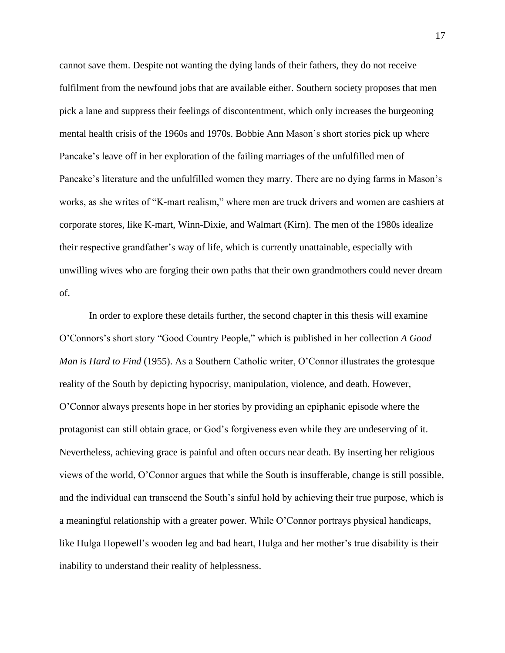cannot save them. Despite not wanting the dying lands of their fathers, they do not receive fulfilment from the newfound jobs that are available either. Southern society proposes that men pick a lane and suppress their feelings of discontentment, which only increases the burgeoning mental health crisis of the 1960s and 1970s. Bobbie Ann Mason's short stories pick up where Pancake's leave off in her exploration of the failing marriages of the unfulfilled men of Pancake's literature and the unfulfilled women they marry. There are no dying farms in Mason's works, as she writes of "K-mart realism," where men are truck drivers and women are cashiers at corporate stores, like K-mart, Winn-Dixie, and Walmart (Kirn). The men of the 1980s idealize their respective grandfather's way of life, which is currently unattainable, especially with unwilling wives who are forging their own paths that their own grandmothers could never dream of.

In order to explore these details further, the second chapter in this thesis will examine O'Connors's short story "Good Country People," which is published in her collection *A Good Man is Hard to Find* (1955). As a Southern Catholic writer, O'Connor illustrates the grotesque reality of the South by depicting hypocrisy, manipulation, violence, and death. However, O'Connor always presents hope in her stories by providing an epiphanic episode where the protagonist can still obtain grace, or God's forgiveness even while they are undeserving of it. Nevertheless, achieving grace is painful and often occurs near death. By inserting her religious views of the world, O'Connor argues that while the South is insufferable, change is still possible, and the individual can transcend the South's sinful hold by achieving their true purpose, which is a meaningful relationship with a greater power. While O'Connor portrays physical handicaps, like Hulga Hopewell's wooden leg and bad heart, Hulga and her mother's true disability is their inability to understand their reality of helplessness.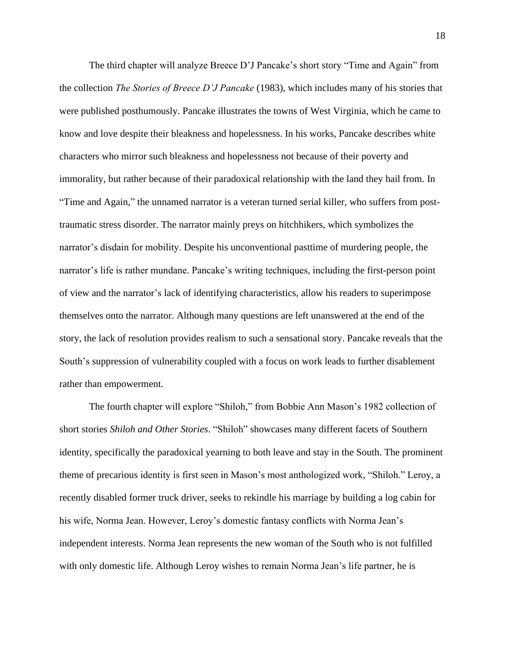The third chapter will analyze Breece D'J Pancake's short story "Time and Again" from the collection *The Stories of Breece D'J Pancake* (1983), which includes many of his stories that were published posthumously. Pancake illustrates the towns of West Virginia, which he came to know and love despite their bleakness and hopelessness. In his works, Pancake describes white characters who mirror such bleakness and hopelessness not because of their poverty and immorality, but rather because of their paradoxical relationship with the land they hail from. In "Time and Again," the unnamed narrator is a veteran turned serial killer, who suffers from posttraumatic stress disorder. The narrator mainly preys on hitchhikers, which symbolizes the narrator's disdain for mobility. Despite his unconventional pasttime of murdering people, the narrator's life is rather mundane. Pancake's writing techniques, including the first-person point of view and the narrator's lack of identifying characteristics, allow his readers to superimpose themselves onto the narrator. Although many questions are left unanswered at the end of the story, the lack of resolution provides realism to such a sensational story. Pancake reveals that the South's suppression of vulnerability coupled with a focus on work leads to further disablement rather than empowerment.

The fourth chapter will explore "Shiloh," from Bobbie Ann Mason's 1982 collection of short stories *Shiloh and Other Stories*. "Shiloh" showcases many different facets of Southern identity, specifically the paradoxical yearning to both leave and stay in the South. The prominent theme of precarious identity is first seen in Mason's most anthologized work, "Shiloh." Leroy, a recently disabled former truck driver, seeks to rekindle his marriage by building a log cabin for his wife, Norma Jean. However, Leroy's domestic fantasy conflicts with Norma Jean's independent interests. Norma Jean represents the new woman of the South who is not fulfilled with only domestic life. Although Leroy wishes to remain Norma Jean's life partner, he is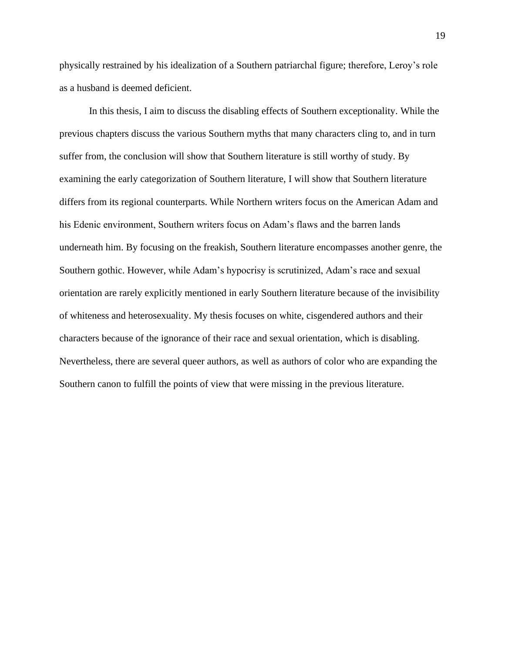physically restrained by his idealization of a Southern patriarchal figure; therefore, Leroy's role as a husband is deemed deficient.

In this thesis, I aim to discuss the disabling effects of Southern exceptionality. While the previous chapters discuss the various Southern myths that many characters cling to, and in turn suffer from, the conclusion will show that Southern literature is still worthy of study. By examining the early categorization of Southern literature, I will show that Southern literature differs from its regional counterparts. While Northern writers focus on the American Adam and his Edenic environment, Southern writers focus on Adam's flaws and the barren lands underneath him. By focusing on the freakish, Southern literature encompasses another genre, the Southern gothic. However, while Adam's hypocrisy is scrutinized, Adam's race and sexual orientation are rarely explicitly mentioned in early Southern literature because of the invisibility of whiteness and heterosexuality. My thesis focuses on white, cisgendered authors and their characters because of the ignorance of their race and sexual orientation, which is disabling. Nevertheless, there are several queer authors, as well as authors of color who are expanding the Southern canon to fulfill the points of view that were missing in the previous literature.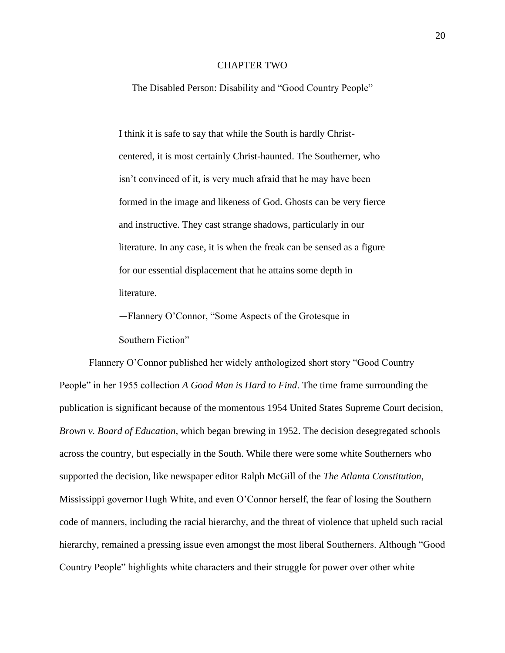### CHAPTER TWO

The Disabled Person: Disability and "Good Country People"

I think it is safe to say that while the South is hardly Christcentered, it is most certainly Christ-haunted. The Southerner, who isn't convinced of it, is very much afraid that he may have been formed in the image and likeness of God. Ghosts can be very fierce and instructive. They cast strange shadows, particularly in our literature. In any case, it is when the freak can be sensed as a figure for our essential displacement that he attains some depth in literature.

—Flannery O'Connor, "Some Aspects of the Grotesque in

Southern Fiction"

Flannery O'Connor published her widely anthologized short story "Good Country People" in her 1955 collection *A Good Man is Hard to Find*. The time frame surrounding the publication is significant because of the momentous 1954 United States Supreme Court decision, *Brown v. Board of Education*, which began brewing in 1952. The decision desegregated schools across the country, but especially in the South. While there were some white Southerners who supported the decision, like newspaper editor Ralph McGill of the *The Atlanta Constitution*, Mississippi governor Hugh White, and even O'Connor herself, the fear of losing the Southern code of manners, including the racial hierarchy, and the threat of violence that upheld such racial hierarchy, remained a pressing issue even amongst the most liberal Southerners. Although "Good Country People" highlights white characters and their struggle for power over other white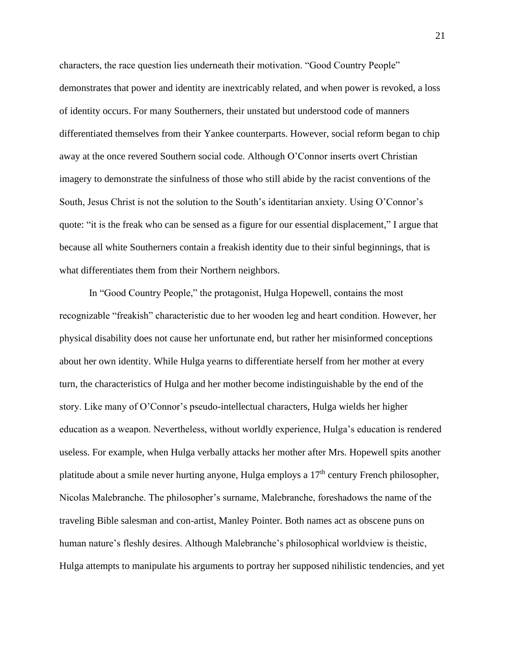characters, the race question lies underneath their motivation. "Good Country People" demonstrates that power and identity are inextricably related, and when power is revoked, a loss of identity occurs. For many Southerners, their unstated but understood code of manners differentiated themselves from their Yankee counterparts. However, social reform began to chip away at the once revered Southern social code. Although O'Connor inserts overt Christian imagery to demonstrate the sinfulness of those who still abide by the racist conventions of the South, Jesus Christ is not the solution to the South's identitarian anxiety. Using O'Connor's quote: "it is the freak who can be sensed as a figure for our essential displacement," I argue that because all white Southerners contain a freakish identity due to their sinful beginnings, that is what differentiates them from their Northern neighbors.

In "Good Country People," the protagonist, Hulga Hopewell, contains the most recognizable "freakish" characteristic due to her wooden leg and heart condition. However, her physical disability does not cause her unfortunate end, but rather her misinformed conceptions about her own identity. While Hulga yearns to differentiate herself from her mother at every turn, the characteristics of Hulga and her mother become indistinguishable by the end of the story. Like many of O'Connor's pseudo-intellectual characters, Hulga wields her higher education as a weapon. Nevertheless, without worldly experience, Hulga's education is rendered useless. For example, when Hulga verbally attacks her mother after Mrs. Hopewell spits another platitude about a smile never hurting anyone, Hulga employs a  $17<sup>th</sup>$  century French philosopher, Nicolas Malebranche. The philosopher's surname, Malebranche, foreshadows the name of the traveling Bible salesman and con-artist, Manley Pointer. Both names act as obscene puns on human nature's fleshly desires. Although Malebranche's philosophical worldview is theistic, Hulga attempts to manipulate his arguments to portray her supposed nihilistic tendencies, and yet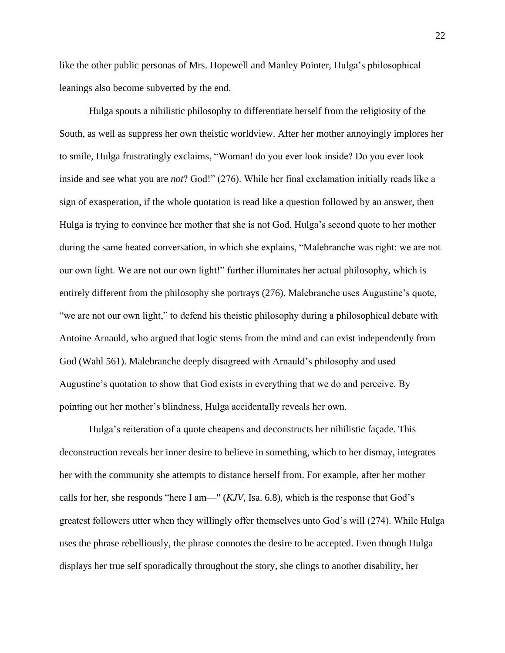like the other public personas of Mrs. Hopewell and Manley Pointer, Hulga's philosophical leanings also become subverted by the end.

Hulga spouts a nihilistic philosophy to differentiate herself from the religiosity of the South, as well as suppress her own theistic worldview. After her mother annoyingly implores her to smile, Hulga frustratingly exclaims, "Woman! do you ever look inside? Do you ever look inside and see what you are *not*? God!" (276). While her final exclamation initially reads like a sign of exasperation, if the whole quotation is read like a question followed by an answer, then Hulga is trying to convince her mother that she is not God. Hulga's second quote to her mother during the same heated conversation, in which she explains, "Malebranche was right: we are not our own light. We are not our own light!" further illuminates her actual philosophy, which is entirely different from the philosophy she portrays (276). Malebranche uses Augustine's quote, "we are not our own light," to defend his theistic philosophy during a philosophical debate with Antoine Arnauld, who argued that logic stems from the mind and can exist independently from God (Wahl 561). Malebranche deeply disagreed with Arnauld's philosophy and used Augustine's quotation to show that God exists in everything that we do and perceive. By pointing out her mother's blindness, Hulga accidentally reveals her own.

Hulga's reiteration of a quote cheapens and deconstructs her nihilistic façade. This deconstruction reveals her inner desire to believe in something, which to her dismay, integrates her with the community she attempts to distance herself from. For example, after her mother calls for her, she responds "here I am—" (*KJV*, Isa. 6.8), which is the response that God's greatest followers utter when they willingly offer themselves unto God's will (274). While Hulga uses the phrase rebelliously, the phrase connotes the desire to be accepted. Even though Hulga displays her true self sporadically throughout the story, she clings to another disability, her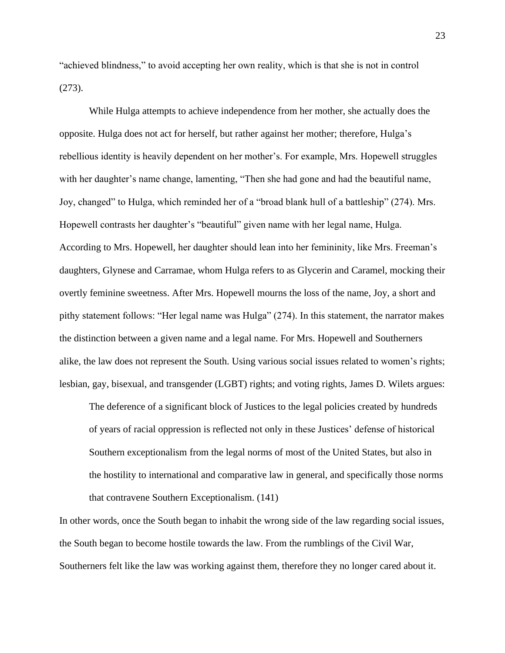"achieved blindness," to avoid accepting her own reality, which is that she is not in control (273).

While Hulga attempts to achieve independence from her mother, she actually does the opposite. Hulga does not act for herself, but rather against her mother; therefore, Hulga's rebellious identity is heavily dependent on her mother's. For example, Mrs. Hopewell struggles with her daughter's name change, lamenting, "Then she had gone and had the beautiful name, Joy, changed" to Hulga, which reminded her of a "broad blank hull of a battleship" (274). Mrs. Hopewell contrasts her daughter's "beautiful" given name with her legal name, Hulga. According to Mrs. Hopewell, her daughter should lean into her femininity, like Mrs. Freeman's daughters, Glynese and Carramae, whom Hulga refers to as Glycerin and Caramel, mocking their overtly feminine sweetness. After Mrs. Hopewell mourns the loss of the name, Joy, a short and pithy statement follows: "Her legal name was Hulga" (274). In this statement, the narrator makes the distinction between a given name and a legal name. For Mrs. Hopewell and Southerners alike, the law does not represent the South. Using various social issues related to women's rights; lesbian, gay, bisexual, and transgender (LGBT) rights; and voting rights, James D. Wilets argues:

The deference of a significant block of Justices to the legal policies created by hundreds of years of racial oppression is reflected not only in these Justices' defense of historical Southern exceptionalism from the legal norms of most of the United States, but also in the hostility to international and comparative law in general, and specifically those norms that contravene Southern Exceptionalism. (141)

In other words, once the South began to inhabit the wrong side of the law regarding social issues, the South began to become hostile towards the law. From the rumblings of the Civil War, Southerners felt like the law was working against them, therefore they no longer cared about it.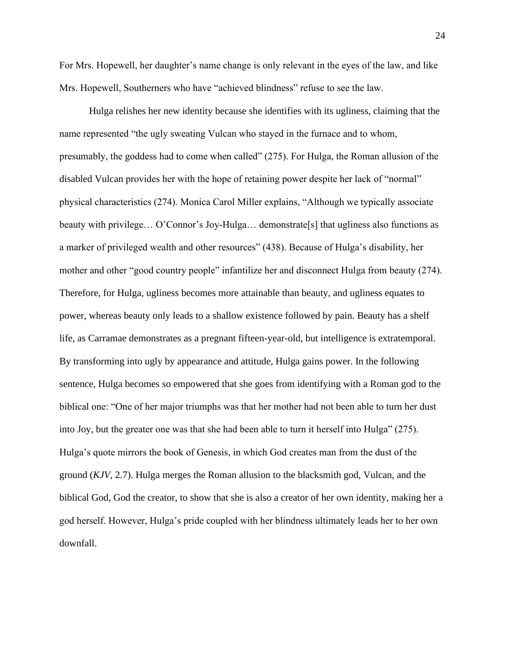For Mrs. Hopewell, her daughter's name change is only relevant in the eyes of the law, and like Mrs. Hopewell, Southerners who have "achieved blindness" refuse to see the law.

Hulga relishes her new identity because she identifies with its ugliness, claiming that the name represented "the ugly sweating Vulcan who stayed in the furnace and to whom, presumably, the goddess had to come when called" (275). For Hulga, the Roman allusion of the disabled Vulcan provides her with the hope of retaining power despite her lack of "normal" physical characteristics (274). Monica Carol Miller explains, "Although we typically associate beauty with privilege... O'Connor's Joy-Hulga... demonstrate [s] that ugliness also functions as a marker of privileged wealth and other resources" (438). Because of Hulga's disability, her mother and other "good country people" infantilize her and disconnect Hulga from beauty (274). Therefore, for Hulga, ugliness becomes more attainable than beauty, and ugliness equates to power, whereas beauty only leads to a shallow existence followed by pain. Beauty has a shelf life, as Carramae demonstrates as a pregnant fifteen-year-old, but intelligence is extratemporal. By transforming into ugly by appearance and attitude, Hulga gains power. In the following sentence, Hulga becomes so empowered that she goes from identifying with a Roman god to the biblical one: "One of her major triumphs was that her mother had not been able to turn her dust into Joy, but the greater one was that she had been able to turn it herself into Hulga" (275). Hulga's quote mirrors the book of Genesis, in which God creates man from the dust of the ground (*KJV*, 2.7). Hulga merges the Roman allusion to the blacksmith god, Vulcan, and the biblical God, God the creator, to show that she is also a creator of her own identity, making her a god herself. However, Hulga's pride coupled with her blindness ultimately leads her to her own downfall.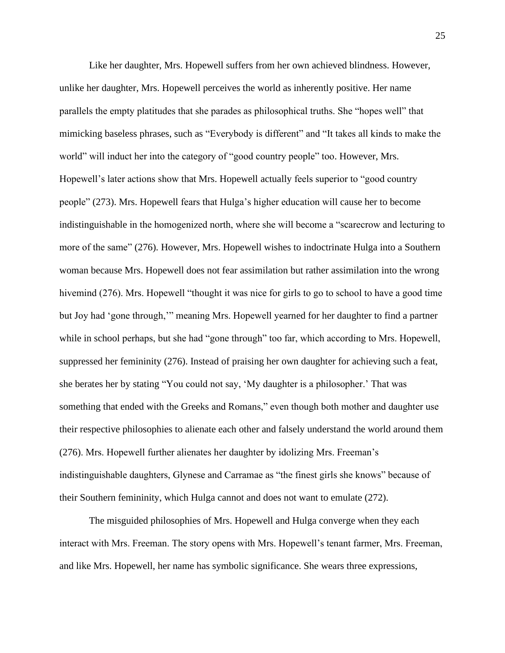Like her daughter, Mrs. Hopewell suffers from her own achieved blindness. However, unlike her daughter, Mrs. Hopewell perceives the world as inherently positive. Her name parallels the empty platitudes that she parades as philosophical truths. She "hopes well" that mimicking baseless phrases, such as "Everybody is different" and "It takes all kinds to make the world" will induct her into the category of "good country people" too. However, Mrs. Hopewell's later actions show that Mrs. Hopewell actually feels superior to "good country people" (273). Mrs. Hopewell fears that Hulga's higher education will cause her to become indistinguishable in the homogenized north, where she will become a "scarecrow and lecturing to more of the same" (276). However, Mrs. Hopewell wishes to indoctrinate Hulga into a Southern woman because Mrs. Hopewell does not fear assimilation but rather assimilation into the wrong hivemind (276). Mrs. Hopewell "thought it was nice for girls to go to school to have a good time but Joy had 'gone through,'" meaning Mrs. Hopewell yearned for her daughter to find a partner while in school perhaps, but she had "gone through" too far, which according to Mrs. Hopewell, suppressed her femininity (276). Instead of praising her own daughter for achieving such a feat, she berates her by stating "You could not say, 'My daughter is a philosopher.' That was something that ended with the Greeks and Romans," even though both mother and daughter use their respective philosophies to alienate each other and falsely understand the world around them (276). Mrs. Hopewell further alienates her daughter by idolizing Mrs. Freeman's indistinguishable daughters, Glynese and Carramae as "the finest girls she knows" because of their Southern femininity, which Hulga cannot and does not want to emulate (272).

The misguided philosophies of Mrs. Hopewell and Hulga converge when they each interact with Mrs. Freeman. The story opens with Mrs. Hopewell's tenant farmer, Mrs. Freeman, and like Mrs. Hopewell, her name has symbolic significance. She wears three expressions,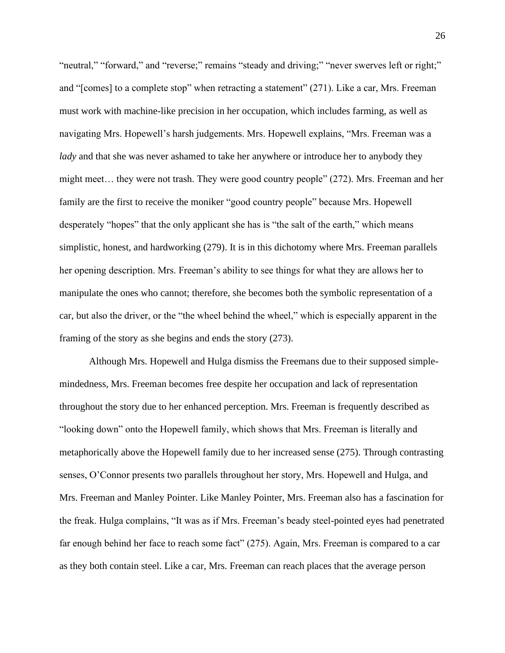"neutral," "forward," and "reverse;" remains "steady and driving;" "never swerves left or right;" and "[comes] to a complete stop" when retracting a statement" (271). Like a car, Mrs. Freeman must work with machine-like precision in her occupation, which includes farming, as well as navigating Mrs. Hopewell's harsh judgements. Mrs. Hopewell explains, "Mrs. Freeman was a *lady* and that she was never ashamed to take her anywhere or introduce her to anybody they might meet… they were not trash. They were good country people" (272). Mrs. Freeman and her family are the first to receive the moniker "good country people" because Mrs. Hopewell desperately "hopes" that the only applicant she has is "the salt of the earth," which means simplistic, honest, and hardworking (279). It is in this dichotomy where Mrs. Freeman parallels her opening description. Mrs. Freeman's ability to see things for what they are allows her to manipulate the ones who cannot; therefore, she becomes both the symbolic representation of a car, but also the driver, or the "the wheel behind the wheel," which is especially apparent in the framing of the story as she begins and ends the story (273).

Although Mrs. Hopewell and Hulga dismiss the Freemans due to their supposed simplemindedness, Mrs. Freeman becomes free despite her occupation and lack of representation throughout the story due to her enhanced perception. Mrs. Freeman is frequently described as "looking down" onto the Hopewell family, which shows that Mrs. Freeman is literally and metaphorically above the Hopewell family due to her increased sense (275). Through contrasting senses, O'Connor presents two parallels throughout her story, Mrs. Hopewell and Hulga, and Mrs. Freeman and Manley Pointer. Like Manley Pointer, Mrs. Freeman also has a fascination for the freak. Hulga complains, "It was as if Mrs. Freeman's beady steel-pointed eyes had penetrated far enough behind her face to reach some fact" (275). Again, Mrs. Freeman is compared to a car as they both contain steel. Like a car, Mrs. Freeman can reach places that the average person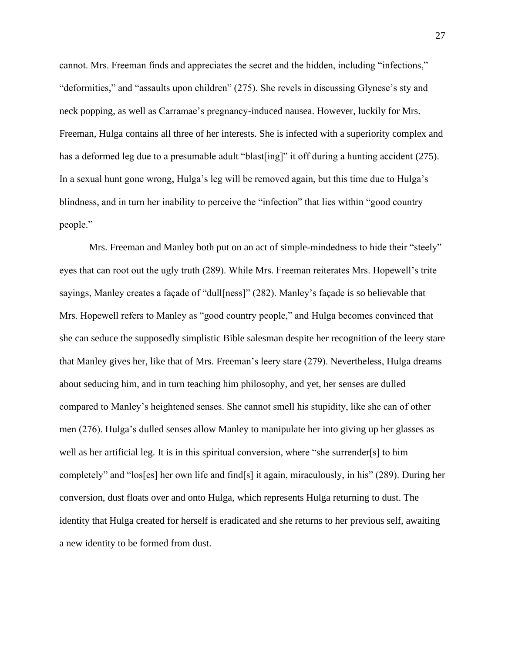cannot. Mrs. Freeman finds and appreciates the secret and the hidden, including "infections," "deformities," and "assaults upon children" (275). She revels in discussing Glynese's sty and neck popping, as well as Carramae's pregnancy-induced nausea. However, luckily for Mrs. Freeman, Hulga contains all three of her interests. She is infected with a superiority complex and has a deformed leg due to a presumable adult "blast[ing]" it off during a hunting accident (275). In a sexual hunt gone wrong, Hulga's leg will be removed again, but this time due to Hulga's blindness, and in turn her inability to perceive the "infection" that lies within "good country people."

Mrs. Freeman and Manley both put on an act of simple-mindedness to hide their "steely" eyes that can root out the ugly truth (289). While Mrs. Freeman reiterates Mrs. Hopewell's trite sayings, Manley creates a façade of "dull[ness]" (282). Manley's façade is so believable that Mrs. Hopewell refers to Manley as "good country people," and Hulga becomes convinced that she can seduce the supposedly simplistic Bible salesman despite her recognition of the leery stare that Manley gives her, like that of Mrs. Freeman's leery stare (279). Nevertheless, Hulga dreams about seducing him, and in turn teaching him philosophy, and yet, her senses are dulled compared to Manley's heightened senses. She cannot smell his stupidity, like she can of other men (276). Hulga's dulled senses allow Manley to manipulate her into giving up her glasses as well as her artificial leg. It is in this spiritual conversion, where "she surrender[s] to him completely" and "los[es] her own life and find[s] it again, miraculously, in his" (289). During her conversion, dust floats over and onto Hulga, which represents Hulga returning to dust. The identity that Hulga created for herself is eradicated and she returns to her previous self, awaiting a new identity to be formed from dust.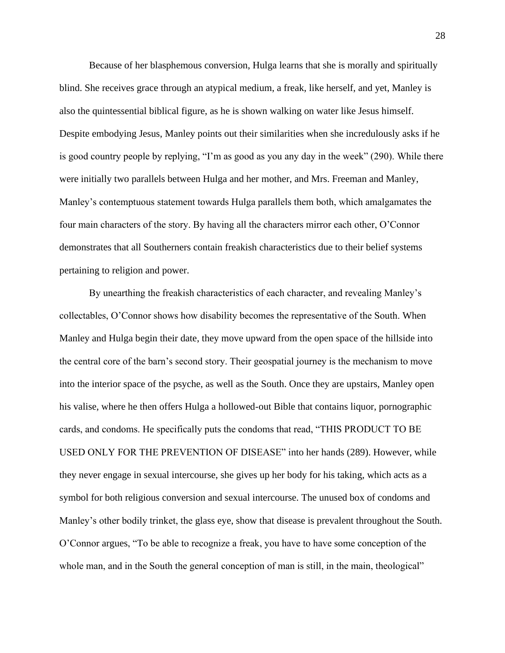Because of her blasphemous conversion, Hulga learns that she is morally and spiritually blind. She receives grace through an atypical medium, a freak, like herself, and yet, Manley is also the quintessential biblical figure, as he is shown walking on water like Jesus himself. Despite embodying Jesus, Manley points out their similarities when she incredulously asks if he is good country people by replying, "I'm as good as you any day in the week" (290). While there were initially two parallels between Hulga and her mother, and Mrs. Freeman and Manley, Manley's contemptuous statement towards Hulga parallels them both, which amalgamates the four main characters of the story. By having all the characters mirror each other, O'Connor demonstrates that all Southerners contain freakish characteristics due to their belief systems pertaining to religion and power.

By unearthing the freakish characteristics of each character, and revealing Manley's collectables, O'Connor shows how disability becomes the representative of the South. When Manley and Hulga begin their date, they move upward from the open space of the hillside into the central core of the barn's second story. Their geospatial journey is the mechanism to move into the interior space of the psyche, as well as the South. Once they are upstairs, Manley open his valise, where he then offers Hulga a hollowed-out Bible that contains liquor, pornographic cards, and condoms. He specifically puts the condoms that read, "THIS PRODUCT TO BE USED ONLY FOR THE PREVENTION OF DISEASE" into her hands (289). However, while they never engage in sexual intercourse, she gives up her body for his taking, which acts as a symbol for both religious conversion and sexual intercourse. The unused box of condoms and Manley's other bodily trinket, the glass eye, show that disease is prevalent throughout the South. O'Connor argues, "To be able to recognize a freak, you have to have some conception of the whole man, and in the South the general conception of man is still, in the main, theological"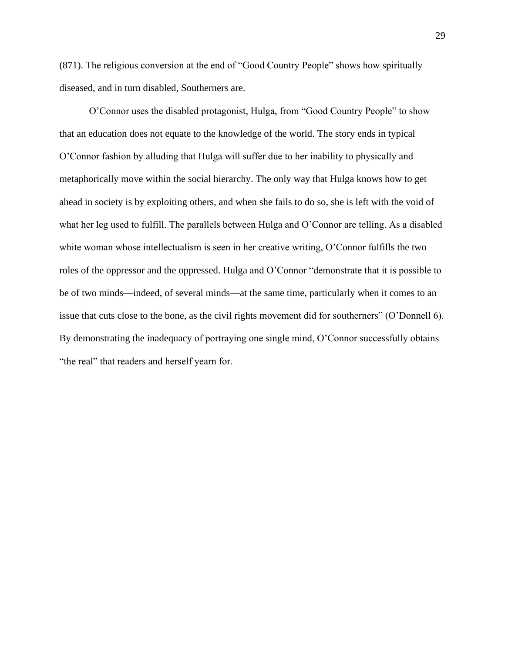(871). The religious conversion at the end of "Good Country People" shows how spiritually diseased, and in turn disabled, Southerners are.

O'Connor uses the disabled protagonist, Hulga, from "Good Country People" to show that an education does not equate to the knowledge of the world. The story ends in typical O'Connor fashion by alluding that Hulga will suffer due to her inability to physically and metaphorically move within the social hierarchy. The only way that Hulga knows how to get ahead in society is by exploiting others, and when she fails to do so, she is left with the void of what her leg used to fulfill. The parallels between Hulga and O'Connor are telling. As a disabled white woman whose intellectualism is seen in her creative writing, O'Connor fulfills the two roles of the oppressor and the oppressed. Hulga and O'Connor "demonstrate that it is possible to be of two minds—indeed, of several minds—at the same time, particularly when it comes to an issue that cuts close to the bone, as the civil rights movement did for southerners" (O'Donnell 6). By demonstrating the inadequacy of portraying one single mind, O'Connor successfully obtains "the real" that readers and herself yearn for.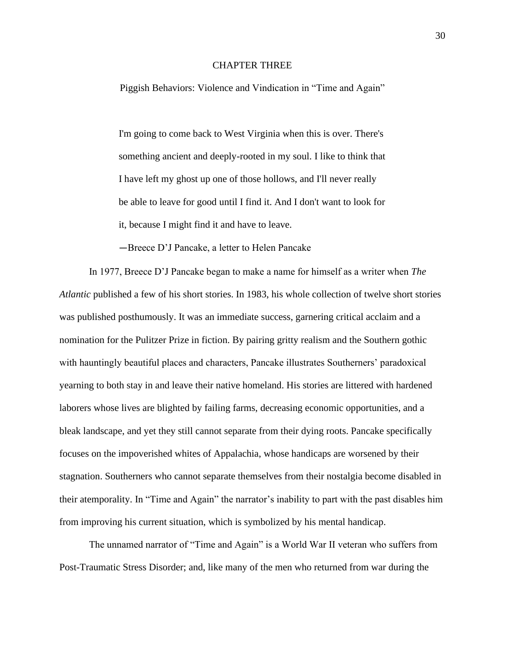## CHAPTER THREE

Piggish Behaviors: Violence and Vindication in "Time and Again"

I'm going to come back to West Virginia when this is over. There's something ancient and deeply-rooted in my soul. I like to think that I have left my ghost up one of those hollows, and I'll never really be able to leave for good until I find it. And I don't want to look for it, because I might find it and have to leave.

—Breece D'J Pancake, a letter to Helen Pancake

In 1977, Breece D'J Pancake began to make a name for himself as a writer when *The Atlantic* published a few of his short stories. In 1983, his whole collection of twelve short stories was published posthumously. It was an immediate success, garnering critical acclaim and a nomination for the Pulitzer Prize in fiction. By pairing gritty realism and the Southern gothic with hauntingly beautiful places and characters, Pancake illustrates Southerners' paradoxical yearning to both stay in and leave their native homeland. His stories are littered with hardened laborers whose lives are blighted by failing farms, decreasing economic opportunities, and a bleak landscape, and yet they still cannot separate from their dying roots. Pancake specifically focuses on the impoverished whites of Appalachia, whose handicaps are worsened by their stagnation. Southerners who cannot separate themselves from their nostalgia become disabled in their atemporality. In "Time and Again" the narrator's inability to part with the past disables him from improving his current situation, which is symbolized by his mental handicap.

The unnamed narrator of "Time and Again" is a World War II veteran who suffers from Post-Traumatic Stress Disorder; and, like many of the men who returned from war during the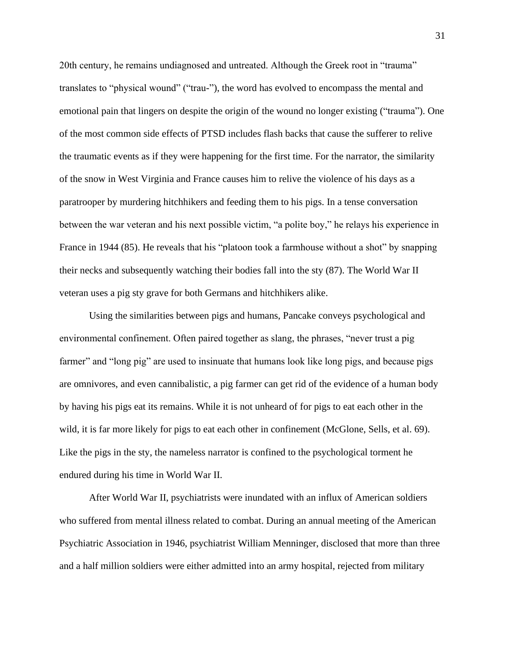20th century, he remains undiagnosed and untreated. Although the Greek root in "trauma" translates to "physical wound" ("trau-"), the word has evolved to encompass the mental and emotional pain that lingers on despite the origin of the wound no longer existing ("trauma"). One of the most common side effects of PTSD includes flash backs that cause the sufferer to relive the traumatic events as if they were happening for the first time. For the narrator, the similarity of the snow in West Virginia and France causes him to relive the violence of his days as a paratrooper by murdering hitchhikers and feeding them to his pigs. In a tense conversation between the war veteran and his next possible victim, "a polite boy," he relays his experience in France in 1944 (85). He reveals that his "platoon took a farmhouse without a shot" by snapping their necks and subsequently watching their bodies fall into the sty (87). The World War II veteran uses a pig sty grave for both Germans and hitchhikers alike.

Using the similarities between pigs and humans, Pancake conveys psychological and environmental confinement. Often paired together as slang, the phrases, "never trust a pig farmer" and "long pig" are used to insinuate that humans look like long pigs, and because pigs are omnivores, and even cannibalistic, a pig farmer can get rid of the evidence of a human body by having his pigs eat its remains. While it is not unheard of for pigs to eat each other in the wild, it is far more likely for pigs to eat each other in confinement (McGlone, Sells, et al. 69). Like the pigs in the sty, the nameless narrator is confined to the psychological torment he endured during his time in World War II.

After World War II, psychiatrists were inundated with an influx of American soldiers who suffered from mental illness related to combat. During an annual meeting of the American Psychiatric Association in 1946, psychiatrist William Menninger, disclosed that more than three and a half million soldiers were either admitted into an army hospital, rejected from military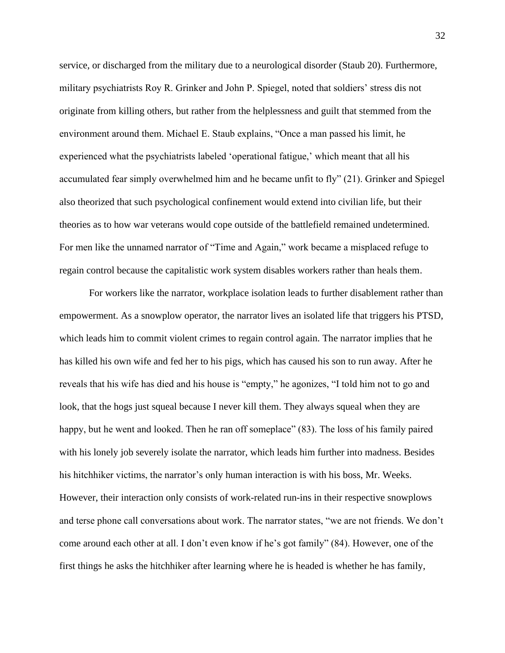service, or discharged from the military due to a neurological disorder (Staub 20). Furthermore, military psychiatrists Roy R. Grinker and John P. Spiegel, noted that soldiers' stress dis not originate from killing others, but rather from the helplessness and guilt that stemmed from the environment around them. Michael E. Staub explains, "Once a man passed his limit, he experienced what the psychiatrists labeled 'operational fatigue,' which meant that all his accumulated fear simply overwhelmed him and he became unfit to fly" (21). Grinker and Spiegel also theorized that such psychological confinement would extend into civilian life, but their theories as to how war veterans would cope outside of the battlefield remained undetermined. For men like the unnamed narrator of "Time and Again," work became a misplaced refuge to regain control because the capitalistic work system disables workers rather than heals them.

For workers like the narrator, workplace isolation leads to further disablement rather than empowerment. As a snowplow operator, the narrator lives an isolated life that triggers his PTSD, which leads him to commit violent crimes to regain control again. The narrator implies that he has killed his own wife and fed her to his pigs, which has caused his son to run away. After he reveals that his wife has died and his house is "empty," he agonizes, "I told him not to go and look, that the hogs just squeal because I never kill them. They always squeal when they are happy, but he went and looked. Then he ran off someplace" (83). The loss of his family paired with his lonely job severely isolate the narrator, which leads him further into madness. Besides his hitchhiker victims, the narrator's only human interaction is with his boss, Mr. Weeks. However, their interaction only consists of work-related run-ins in their respective snowplows and terse phone call conversations about work. The narrator states, "we are not friends. We don't come around each other at all. I don't even know if he's got family" (84). However, one of the first things he asks the hitchhiker after learning where he is headed is whether he has family,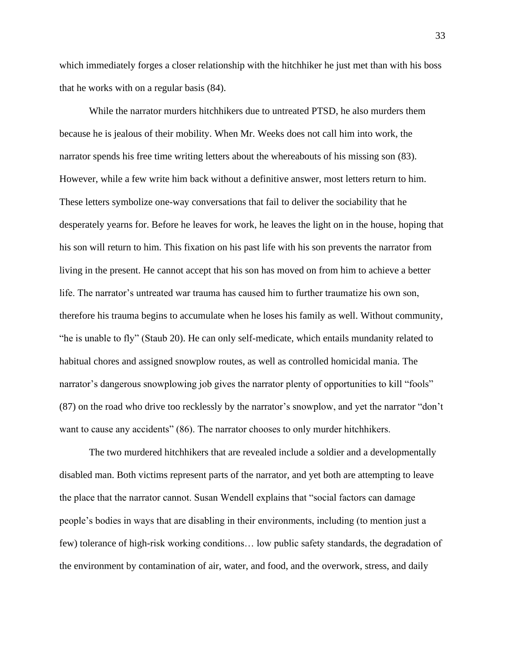which immediately forges a closer relationship with the hitchhiker he just met than with his boss that he works with on a regular basis (84).

While the narrator murders hitchhikers due to untreated PTSD, he also murders them because he is jealous of their mobility. When Mr. Weeks does not call him into work, the narrator spends his free time writing letters about the whereabouts of his missing son (83). However, while a few write him back without a definitive answer, most letters return to him. These letters symbolize one-way conversations that fail to deliver the sociability that he desperately yearns for. Before he leaves for work, he leaves the light on in the house, hoping that his son will return to him. This fixation on his past life with his son prevents the narrator from living in the present. He cannot accept that his son has moved on from him to achieve a better life. The narrator's untreated war trauma has caused him to further traumatize his own son, therefore his trauma begins to accumulate when he loses his family as well. Without community, "he is unable to fly" (Staub 20). He can only self-medicate, which entails mundanity related to habitual chores and assigned snowplow routes, as well as controlled homicidal mania. The narrator's dangerous snowplowing job gives the narrator plenty of opportunities to kill "fools" (87) on the road who drive too recklessly by the narrator's snowplow, and yet the narrator "don't want to cause any accidents" (86). The narrator chooses to only murder hitchhikers.

The two murdered hitchhikers that are revealed include a soldier and a developmentally disabled man. Both victims represent parts of the narrator, and yet both are attempting to leave the place that the narrator cannot. Susan Wendell explains that "social factors can damage people's bodies in ways that are disabling in their environments, including (to mention just a few) tolerance of high-risk working conditions… low public safety standards, the degradation of the environment by contamination of air, water, and food, and the overwork, stress, and daily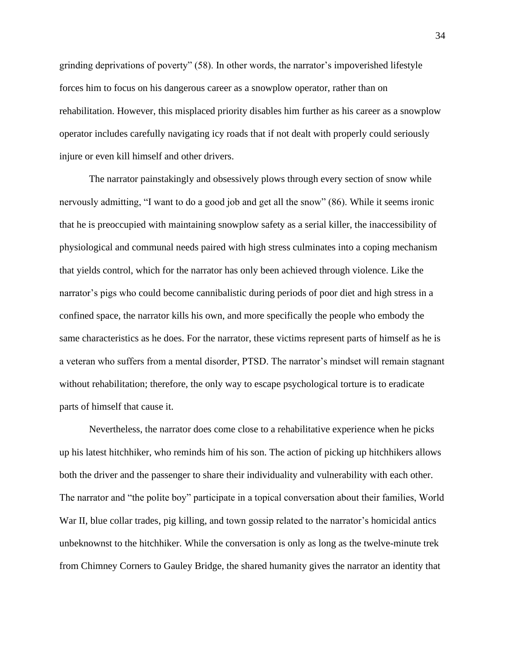grinding deprivations of poverty" (58). In other words, the narrator's impoverished lifestyle forces him to focus on his dangerous career as a snowplow operator, rather than on rehabilitation. However, this misplaced priority disables him further as his career as a snowplow operator includes carefully navigating icy roads that if not dealt with properly could seriously injure or even kill himself and other drivers.

The narrator painstakingly and obsessively plows through every section of snow while nervously admitting, "I want to do a good job and get all the snow" (86). While it seems ironic that he is preoccupied with maintaining snowplow safety as a serial killer, the inaccessibility of physiological and communal needs paired with high stress culminates into a coping mechanism that yields control, which for the narrator has only been achieved through violence. Like the narrator's pigs who could become cannibalistic during periods of poor diet and high stress in a confined space, the narrator kills his own, and more specifically the people who embody the same characteristics as he does. For the narrator, these victims represent parts of himself as he is a veteran who suffers from a mental disorder, PTSD. The narrator's mindset will remain stagnant without rehabilitation; therefore, the only way to escape psychological torture is to eradicate parts of himself that cause it.

Nevertheless, the narrator does come close to a rehabilitative experience when he picks up his latest hitchhiker, who reminds him of his son. The action of picking up hitchhikers allows both the driver and the passenger to share their individuality and vulnerability with each other. The narrator and "the polite boy" participate in a topical conversation about their families, World War II, blue collar trades, pig killing, and town gossip related to the narrator's homicidal antics unbeknownst to the hitchhiker. While the conversation is only as long as the twelve-minute trek from Chimney Corners to Gauley Bridge, the shared humanity gives the narrator an identity that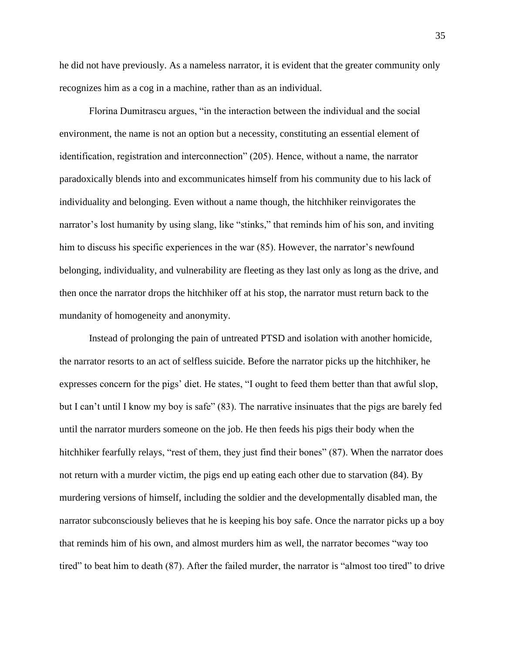he did not have previously. As a nameless narrator, it is evident that the greater community only recognizes him as a cog in a machine, rather than as an individual.

Florina Dumitrascu argues, "in the interaction between the individual and the social environment, the name is not an option but a necessity, constituting an essential element of identification, registration and interconnection" (205). Hence, without a name, the narrator paradoxically blends into and excommunicates himself from his community due to his lack of individuality and belonging. Even without a name though, the hitchhiker reinvigorates the narrator's lost humanity by using slang, like "stinks," that reminds him of his son, and inviting him to discuss his specific experiences in the war (85). However, the narrator's newfound belonging, individuality, and vulnerability are fleeting as they last only as long as the drive, and then once the narrator drops the hitchhiker off at his stop, the narrator must return back to the mundanity of homogeneity and anonymity.

Instead of prolonging the pain of untreated PTSD and isolation with another homicide, the narrator resorts to an act of selfless suicide. Before the narrator picks up the hitchhiker, he expresses concern for the pigs' diet. He states, "I ought to feed them better than that awful slop, but I can't until I know my boy is safe" (83). The narrative insinuates that the pigs are barely fed until the narrator murders someone on the job. He then feeds his pigs their body when the hitchhiker fearfully relays, "rest of them, they just find their bones" (87). When the narrator does not return with a murder victim, the pigs end up eating each other due to starvation (84). By murdering versions of himself, including the soldier and the developmentally disabled man, the narrator subconsciously believes that he is keeping his boy safe. Once the narrator picks up a boy that reminds him of his own, and almost murders him as well, the narrator becomes "way too tired" to beat him to death (87). After the failed murder, the narrator is "almost too tired" to drive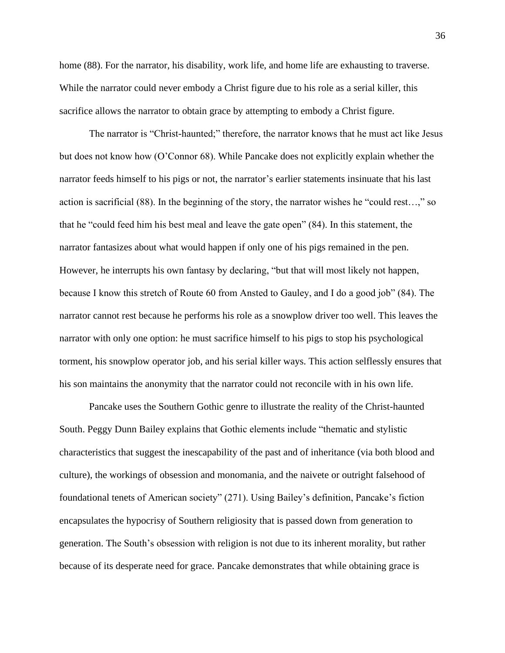home (88). For the narrator, his disability, work life, and home life are exhausting to traverse. While the narrator could never embody a Christ figure due to his role as a serial killer, this sacrifice allows the narrator to obtain grace by attempting to embody a Christ figure.

The narrator is "Christ-haunted;" therefore, the narrator knows that he must act like Jesus but does not know how (O'Connor 68). While Pancake does not explicitly explain whether the narrator feeds himself to his pigs or not, the narrator's earlier statements insinuate that his last action is sacrificial (88). In the beginning of the story, the narrator wishes he "could rest…," so that he "could feed him his best meal and leave the gate open" (84). In this statement, the narrator fantasizes about what would happen if only one of his pigs remained in the pen. However, he interrupts his own fantasy by declaring, "but that will most likely not happen, because I know this stretch of Route 60 from Ansted to Gauley, and I do a good job" (84). The narrator cannot rest because he performs his role as a snowplow driver too well. This leaves the narrator with only one option: he must sacrifice himself to his pigs to stop his psychological torment, his snowplow operator job, and his serial killer ways. This action selflessly ensures that his son maintains the anonymity that the narrator could not reconcile with in his own life.

Pancake uses the Southern Gothic genre to illustrate the reality of the Christ-haunted South. Peggy Dunn Bailey explains that Gothic elements include "thematic and stylistic characteristics that suggest the inescapability of the past and of inheritance (via both blood and culture), the workings of obsession and monomania, and the naivete or outright falsehood of foundational tenets of American society" (271). Using Bailey's definition, Pancake's fiction encapsulates the hypocrisy of Southern religiosity that is passed down from generation to generation. The South's obsession with religion is not due to its inherent morality, but rather because of its desperate need for grace. Pancake demonstrates that while obtaining grace is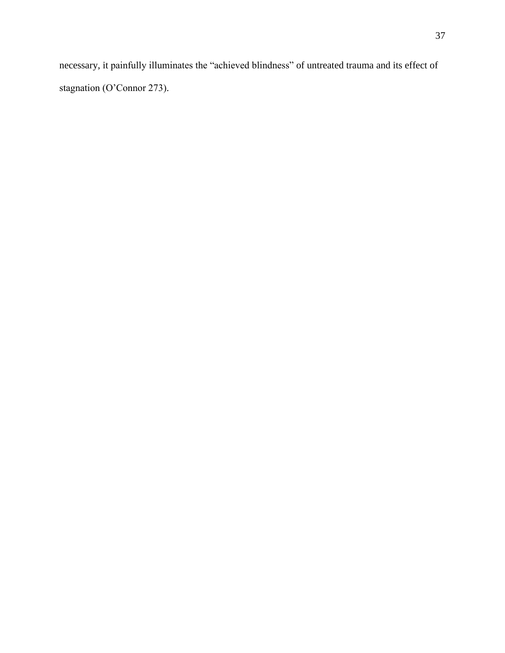necessary, it painfully illuminates the "achieved blindness" of untreated trauma and its effect of stagnation (O'Connor 273).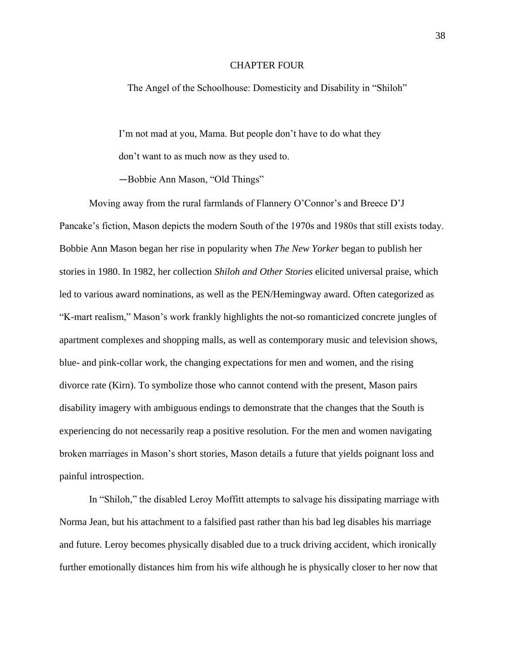#### CHAPTER FOUR

The Angel of the Schoolhouse: Domesticity and Disability in "Shiloh"

I'm not mad at you, Mama. But people don't have to do what they don't want to as much now as they used to.

—Bobbie Ann Mason, "Old Things"

Moving away from the rural farmlands of Flannery O'Connor's and Breece D'J Pancake's fiction, Mason depicts the modern South of the 1970s and 1980s that still exists today. Bobbie Ann Mason began her rise in popularity when *The New Yorker* began to publish her stories in 1980. In 1982, her collection *Shiloh and Other Stories* elicited universal praise, which led to various award nominations, as well as the PEN/Hemingway award. Often categorized as "K-mart realism," Mason's work frankly highlights the not-so romanticized concrete jungles of apartment complexes and shopping malls, as well as contemporary music and television shows, blue- and pink-collar work, the changing expectations for men and women, and the rising divorce rate (Kirn). To symbolize those who cannot contend with the present, Mason pairs disability imagery with ambiguous endings to demonstrate that the changes that the South is experiencing do not necessarily reap a positive resolution. For the men and women navigating broken marriages in Mason's short stories, Mason details a future that yields poignant loss and painful introspection.

In "Shiloh," the disabled Leroy Moffitt attempts to salvage his dissipating marriage with Norma Jean, but his attachment to a falsified past rather than his bad leg disables his marriage and future. Leroy becomes physically disabled due to a truck driving accident, which ironically further emotionally distances him from his wife although he is physically closer to her now that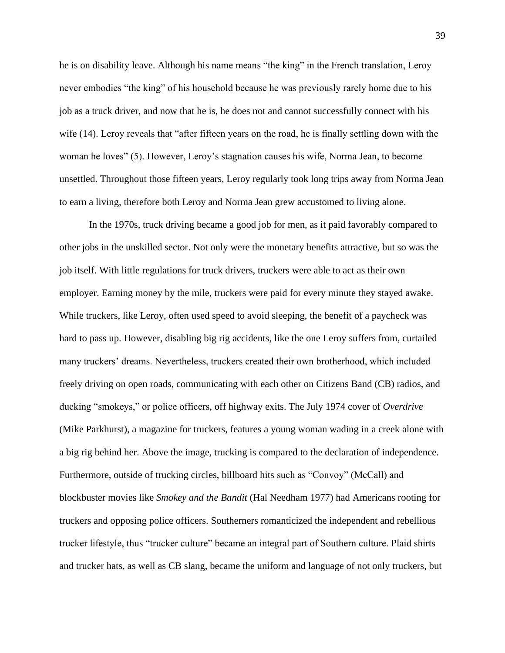he is on disability leave. Although his name means "the king" in the French translation, Leroy never embodies "the king" of his household because he was previously rarely home due to his job as a truck driver, and now that he is, he does not and cannot successfully connect with his wife (14). Leroy reveals that "after fifteen years on the road, he is finally settling down with the woman he loves" (5). However, Leroy's stagnation causes his wife, Norma Jean, to become unsettled. Throughout those fifteen years, Leroy regularly took long trips away from Norma Jean to earn a living, therefore both Leroy and Norma Jean grew accustomed to living alone.

In the 1970s, truck driving became a good job for men, as it paid favorably compared to other jobs in the unskilled sector. Not only were the monetary benefits attractive, but so was the job itself. With little regulations for truck drivers, truckers were able to act as their own employer. Earning money by the mile, truckers were paid for every minute they stayed awake. While truckers, like Leroy, often used speed to avoid sleeping, the benefit of a paycheck was hard to pass up. However, disabling big rig accidents, like the one Leroy suffers from, curtailed many truckers' dreams. Nevertheless, truckers created their own brotherhood, which included freely driving on open roads, communicating with each other on Citizens Band (CB) radios, and ducking "smokeys," or police officers, off highway exits. The July 1974 cover of *Overdrive*  (Mike Parkhurst), a magazine for truckers, features a young woman wading in a creek alone with a big rig behind her. Above the image, trucking is compared to the declaration of independence. Furthermore, outside of trucking circles, billboard hits such as "Convoy" (McCall) and blockbuster movies like *Smokey and the Bandit* (Hal Needham 1977) had Americans rooting for truckers and opposing police officers. Southerners romanticized the independent and rebellious trucker lifestyle, thus "trucker culture" became an integral part of Southern culture. Plaid shirts and trucker hats, as well as CB slang, became the uniform and language of not only truckers, but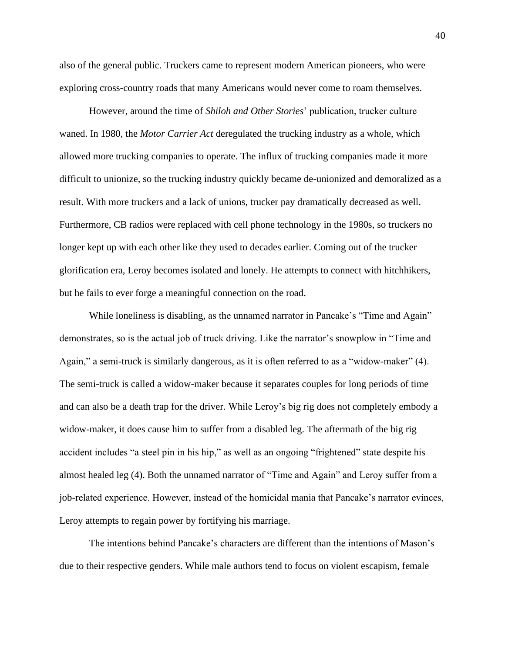also of the general public. Truckers came to represent modern American pioneers, who were exploring cross-country roads that many Americans would never come to roam themselves.

However, around the time of *Shiloh and Other Stories*' publication, trucker culture waned. In 1980, the *Motor Carrier Act* deregulated the trucking industry as a whole, which allowed more trucking companies to operate. The influx of trucking companies made it more difficult to unionize, so the trucking industry quickly became de-unionized and demoralized as a result. With more truckers and a lack of unions, trucker pay dramatically decreased as well. Furthermore, CB radios were replaced with cell phone technology in the 1980s, so truckers no longer kept up with each other like they used to decades earlier. Coming out of the trucker glorification era, Leroy becomes isolated and lonely. He attempts to connect with hitchhikers, but he fails to ever forge a meaningful connection on the road.

While loneliness is disabling, as the unnamed narrator in Pancake's "Time and Again" demonstrates, so is the actual job of truck driving. Like the narrator's snowplow in "Time and Again," a semi-truck is similarly dangerous, as it is often referred to as a "widow-maker" (4). The semi-truck is called a widow-maker because it separates couples for long periods of time and can also be a death trap for the driver. While Leroy's big rig does not completely embody a widow-maker, it does cause him to suffer from a disabled leg. The aftermath of the big rig accident includes "a steel pin in his hip," as well as an ongoing "frightened" state despite his almost healed leg (4). Both the unnamed narrator of "Time and Again" and Leroy suffer from a job-related experience. However, instead of the homicidal mania that Pancake's narrator evinces, Leroy attempts to regain power by fortifying his marriage.

The intentions behind Pancake's characters are different than the intentions of Mason's due to their respective genders. While male authors tend to focus on violent escapism, female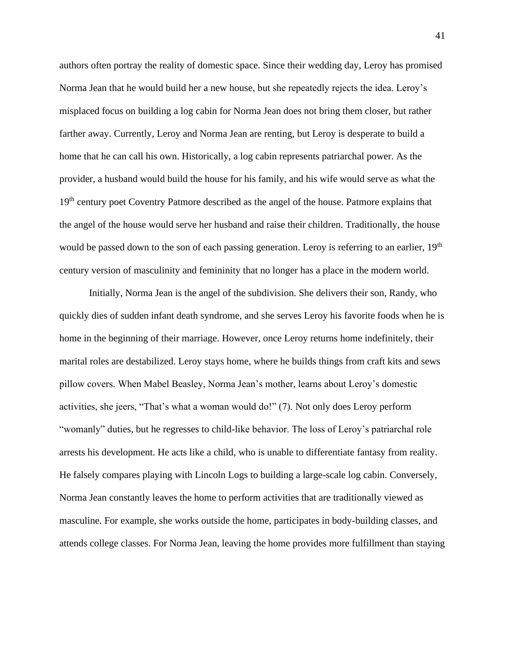authors often portray the reality of domestic space. Since their wedding day, Leroy has promised Norma Jean that he would build her a new house, but she repeatedly rejects the idea. Leroy's misplaced focus on building a log cabin for Norma Jean does not bring them closer, but rather farther away. Currently, Leroy and Norma Jean are renting, but Leroy is desperate to build a home that he can call his own. Historically, a log cabin represents patriarchal power. As the provider, a husband would build the house for his family, and his wife would serve as what the 19<sup>th</sup> century poet Coventry Patmore described as the angel of the house. Patmore explains that the angel of the house would serve her husband and raise their children. Traditionally, the house would be passed down to the son of each passing generation. Leroy is referring to an earlier, 19<sup>th</sup> century version of masculinity and femininity that no longer has a place in the modern world.

Initially, Norma Jean is the angel of the subdivision. She delivers their son, Randy, who quickly dies of sudden infant death syndrome, and she serves Leroy his favorite foods when he is home in the beginning of their marriage. However, once Leroy returns home indefinitely, their marital roles are destabilized. Leroy stays home, where he builds things from craft kits and sews pillow covers. When Mabel Beasley, Norma Jean's mother, learns about Leroy's domestic activities, she jeers, "That's what a woman would do!" (7). Not only does Leroy perform "womanly" duties, but he regresses to child-like behavior. The loss of Leroy's patriarchal role arrests his development. He acts like a child, who is unable to differentiate fantasy from reality. He falsely compares playing with Lincoln Logs to building a large-scale log cabin. Conversely, Norma Jean constantly leaves the home to perform activities that are traditionally viewed as masculine. For example, she works outside the home, participates in body-building classes, and attends college classes. For Norma Jean, leaving the home provides more fulfillment than staying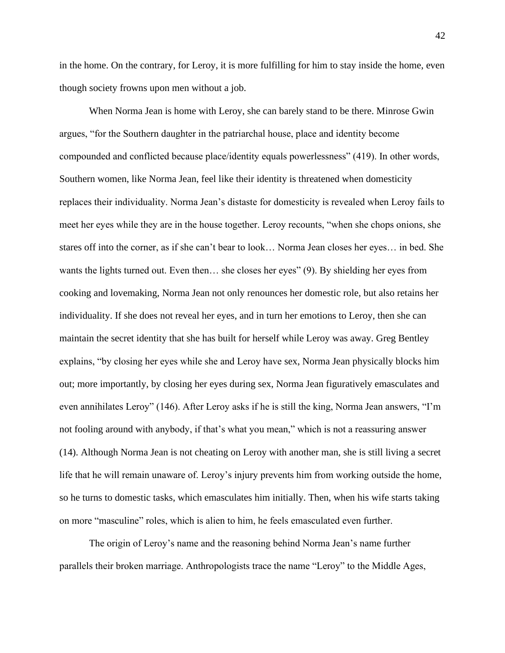in the home. On the contrary, for Leroy, it is more fulfilling for him to stay inside the home, even though society frowns upon men without a job.

When Norma Jean is home with Leroy, she can barely stand to be there. Minrose Gwin argues, "for the Southern daughter in the patriarchal house, place and identity become compounded and conflicted because place/identity equals powerlessness" (419). In other words, Southern women, like Norma Jean, feel like their identity is threatened when domesticity replaces their individuality. Norma Jean's distaste for domesticity is revealed when Leroy fails to meet her eyes while they are in the house together. Leroy recounts, "when she chops onions, she stares off into the corner, as if she can't bear to look… Norma Jean closes her eyes… in bed. She wants the lights turned out. Even then… she closes her eyes" (9). By shielding her eyes from cooking and lovemaking, Norma Jean not only renounces her domestic role, but also retains her individuality. If she does not reveal her eyes, and in turn her emotions to Leroy, then she can maintain the secret identity that she has built for herself while Leroy was away. Greg Bentley explains, "by closing her eyes while she and Leroy have sex, Norma Jean physically blocks him out; more importantly, by closing her eyes during sex, Norma Jean figuratively emasculates and even annihilates Leroy" (146). After Leroy asks if he is still the king, Norma Jean answers, "I'm not fooling around with anybody, if that's what you mean," which is not a reassuring answer (14). Although Norma Jean is not cheating on Leroy with another man, she is still living a secret life that he will remain unaware of. Leroy's injury prevents him from working outside the home, so he turns to domestic tasks, which emasculates him initially. Then, when his wife starts taking on more "masculine" roles, which is alien to him, he feels emasculated even further.

The origin of Leroy's name and the reasoning behind Norma Jean's name further parallels their broken marriage. Anthropologists trace the name "Leroy" to the Middle Ages,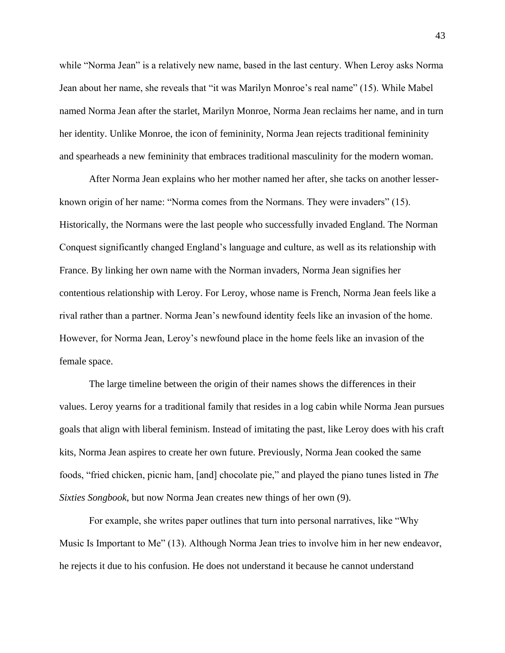while "Norma Jean" is a relatively new name, based in the last century. When Leroy asks Norma Jean about her name, she reveals that "it was Marilyn Monroe's real name" (15). While Mabel named Norma Jean after the starlet, Marilyn Monroe, Norma Jean reclaims her name, and in turn her identity. Unlike Monroe, the icon of femininity, Norma Jean rejects traditional femininity and spearheads a new femininity that embraces traditional masculinity for the modern woman.

After Norma Jean explains who her mother named her after, she tacks on another lesserknown origin of her name: "Norma comes from the Normans. They were invaders" (15). Historically, the Normans were the last people who successfully invaded England. The Norman Conquest significantly changed England's language and culture, as well as its relationship with France. By linking her own name with the Norman invaders, Norma Jean signifies her contentious relationship with Leroy. For Leroy, whose name is French, Norma Jean feels like a rival rather than a partner. Norma Jean's newfound identity feels like an invasion of the home. However, for Norma Jean, Leroy's newfound place in the home feels like an invasion of the female space.

The large timeline between the origin of their names shows the differences in their values. Leroy yearns for a traditional family that resides in a log cabin while Norma Jean pursues goals that align with liberal feminism. Instead of imitating the past, like Leroy does with his craft kits, Norma Jean aspires to create her own future. Previously, Norma Jean cooked the same foods, "fried chicken, picnic ham, [and] chocolate pie," and played the piano tunes listed in *The Sixties Songbook*, but now Norma Jean creates new things of her own (9).

For example, she writes paper outlines that turn into personal narratives, like "Why Music Is Important to Me" (13). Although Norma Jean tries to involve him in her new endeavor, he rejects it due to his confusion. He does not understand it because he cannot understand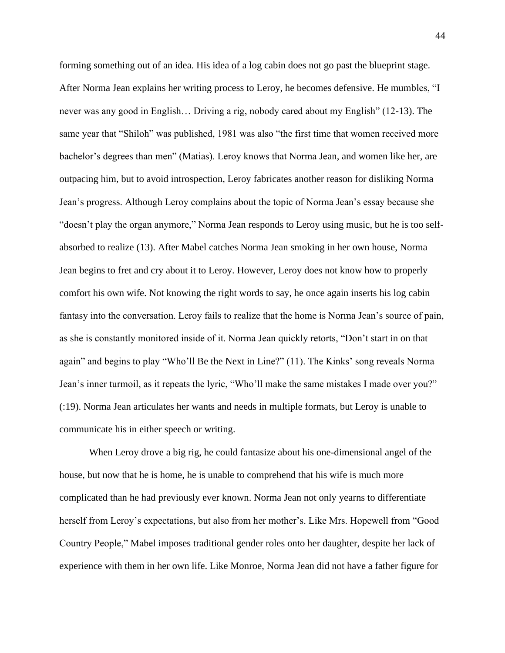forming something out of an idea. His idea of a log cabin does not go past the blueprint stage. After Norma Jean explains her writing process to Leroy, he becomes defensive. He mumbles, "I never was any good in English… Driving a rig, nobody cared about my English" (12-13). The same year that "Shiloh" was published, 1981 was also "the first time that women received more bachelor's degrees than men" (Matias). Leroy knows that Norma Jean, and women like her, are outpacing him, but to avoid introspection, Leroy fabricates another reason for disliking Norma Jean's progress. Although Leroy complains about the topic of Norma Jean's essay because she "doesn't play the organ anymore," Norma Jean responds to Leroy using music, but he is too selfabsorbed to realize (13). After Mabel catches Norma Jean smoking in her own house, Norma Jean begins to fret and cry about it to Leroy. However, Leroy does not know how to properly comfort his own wife. Not knowing the right words to say, he once again inserts his log cabin fantasy into the conversation. Leroy fails to realize that the home is Norma Jean's source of pain, as she is constantly monitored inside of it. Norma Jean quickly retorts, "Don't start in on that again" and begins to play "Who'll Be the Next in Line?" (11). The Kinks' song reveals Norma Jean's inner turmoil, as it repeats the lyric, "Who'll make the same mistakes I made over you?" (:19). Norma Jean articulates her wants and needs in multiple formats, but Leroy is unable to communicate his in either speech or writing.

When Leroy drove a big rig, he could fantasize about his one-dimensional angel of the house, but now that he is home, he is unable to comprehend that his wife is much more complicated than he had previously ever known. Norma Jean not only yearns to differentiate herself from Leroy's expectations, but also from her mother's. Like Mrs. Hopewell from "Good Country People," Mabel imposes traditional gender roles onto her daughter, despite her lack of experience with them in her own life. Like Monroe, Norma Jean did not have a father figure for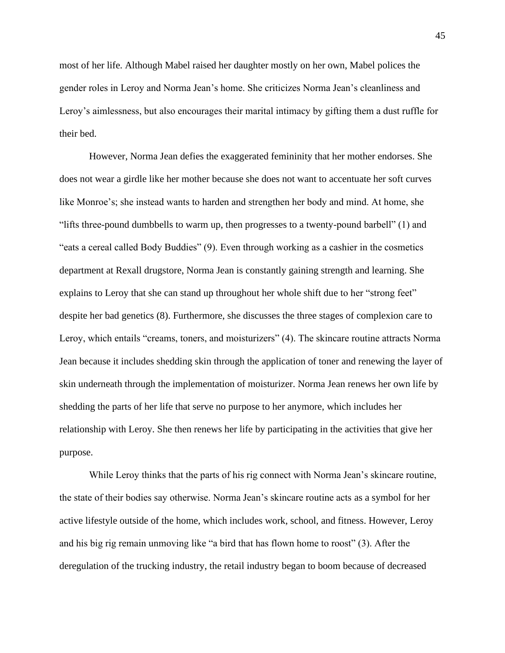most of her life. Although Mabel raised her daughter mostly on her own, Mabel polices the gender roles in Leroy and Norma Jean's home. She criticizes Norma Jean's cleanliness and Leroy's aimlessness, but also encourages their marital intimacy by gifting them a dust ruffle for their bed.

However, Norma Jean defies the exaggerated femininity that her mother endorses. She does not wear a girdle like her mother because she does not want to accentuate her soft curves like Monroe's; she instead wants to harden and strengthen her body and mind. At home, she "lifts three-pound dumbbells to warm up, then progresses to a twenty-pound barbell" (1) and "eats a cereal called Body Buddies" (9). Even through working as a cashier in the cosmetics department at Rexall drugstore, Norma Jean is constantly gaining strength and learning. She explains to Leroy that she can stand up throughout her whole shift due to her "strong feet" despite her bad genetics (8). Furthermore, she discusses the three stages of complexion care to Leroy, which entails "creams, toners, and moisturizers" (4). The skincare routine attracts Norma Jean because it includes shedding skin through the application of toner and renewing the layer of skin underneath through the implementation of moisturizer. Norma Jean renews her own life by shedding the parts of her life that serve no purpose to her anymore, which includes her relationship with Leroy. She then renews her life by participating in the activities that give her purpose.

While Leroy thinks that the parts of his rig connect with Norma Jean's skincare routine, the state of their bodies say otherwise. Norma Jean's skincare routine acts as a symbol for her active lifestyle outside of the home, which includes work, school, and fitness. However, Leroy and his big rig remain unmoving like "a bird that has flown home to roost" (3). After the deregulation of the trucking industry, the retail industry began to boom because of decreased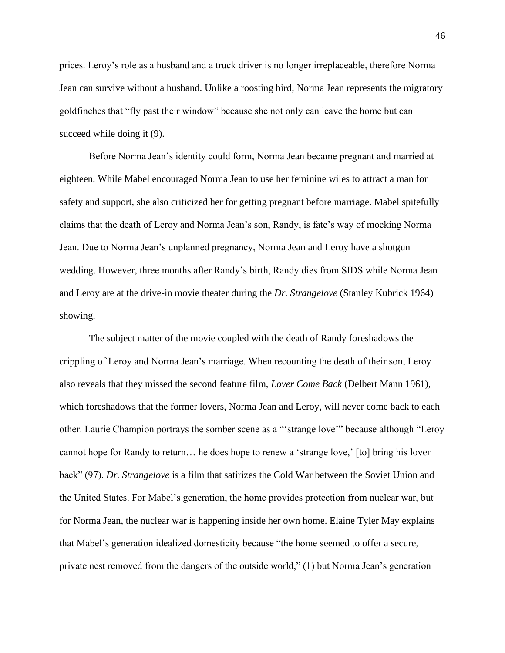prices. Leroy's role as a husband and a truck driver is no longer irreplaceable, therefore Norma Jean can survive without a husband. Unlike a roosting bird, Norma Jean represents the migratory goldfinches that "fly past their window" because she not only can leave the home but can succeed while doing it  $(9)$ .

Before Norma Jean's identity could form, Norma Jean became pregnant and married at eighteen. While Mabel encouraged Norma Jean to use her feminine wiles to attract a man for safety and support, she also criticized her for getting pregnant before marriage. Mabel spitefully claims that the death of Leroy and Norma Jean's son, Randy, is fate's way of mocking Norma Jean. Due to Norma Jean's unplanned pregnancy, Norma Jean and Leroy have a shotgun wedding. However, three months after Randy's birth, Randy dies from SIDS while Norma Jean and Leroy are at the drive-in movie theater during the *Dr. Strangelove* (Stanley Kubrick 1964) showing.

The subject matter of the movie coupled with the death of Randy foreshadows the crippling of Leroy and Norma Jean's marriage. When recounting the death of their son, Leroy also reveals that they missed the second feature film, *Lover Come Back* (Delbert Mann 1961), which foreshadows that the former lovers, Norma Jean and Leroy, will never come back to each other. Laurie Champion portrays the somber scene as a "'strange love'" because although "Leroy cannot hope for Randy to return… he does hope to renew a 'strange love,' [to] bring his lover back" (97). *Dr. Strangelove* is a film that satirizes the Cold War between the Soviet Union and the United States. For Mabel's generation, the home provides protection from nuclear war, but for Norma Jean, the nuclear war is happening inside her own home. Elaine Tyler May explains that Mabel's generation idealized domesticity because "the home seemed to offer a secure, private nest removed from the dangers of the outside world," (1) but Norma Jean's generation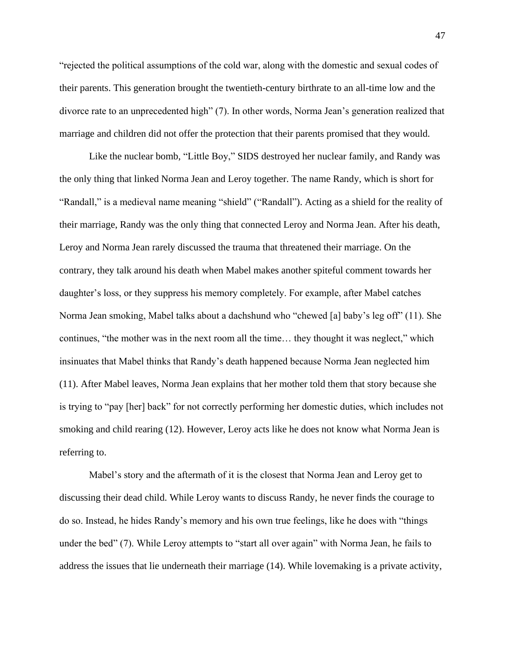"rejected the political assumptions of the cold war, along with the domestic and sexual codes of their parents. This generation brought the twentieth-century birthrate to an all-time low and the divorce rate to an unprecedented high" (7). In other words, Norma Jean's generation realized that marriage and children did not offer the protection that their parents promised that they would.

Like the nuclear bomb, "Little Boy," SIDS destroyed her nuclear family, and Randy was the only thing that linked Norma Jean and Leroy together. The name Randy, which is short for "Randall," is a medieval name meaning "shield" ("Randall"). Acting as a shield for the reality of their marriage, Randy was the only thing that connected Leroy and Norma Jean. After his death, Leroy and Norma Jean rarely discussed the trauma that threatened their marriage. On the contrary, they talk around his death when Mabel makes another spiteful comment towards her daughter's loss, or they suppress his memory completely. For example, after Mabel catches Norma Jean smoking, Mabel talks about a dachshund who "chewed [a] baby's leg off" (11). She continues, "the mother was in the next room all the time… they thought it was neglect," which insinuates that Mabel thinks that Randy's death happened because Norma Jean neglected him (11). After Mabel leaves, Norma Jean explains that her mother told them that story because she is trying to "pay [her] back" for not correctly performing her domestic duties, which includes not smoking and child rearing (12). However, Leroy acts like he does not know what Norma Jean is referring to.

Mabel's story and the aftermath of it is the closest that Norma Jean and Leroy get to discussing their dead child. While Leroy wants to discuss Randy, he never finds the courage to do so. Instead, he hides Randy's memory and his own true feelings, like he does with "things under the bed" (7). While Leroy attempts to "start all over again" with Norma Jean, he fails to address the issues that lie underneath their marriage (14). While lovemaking is a private activity,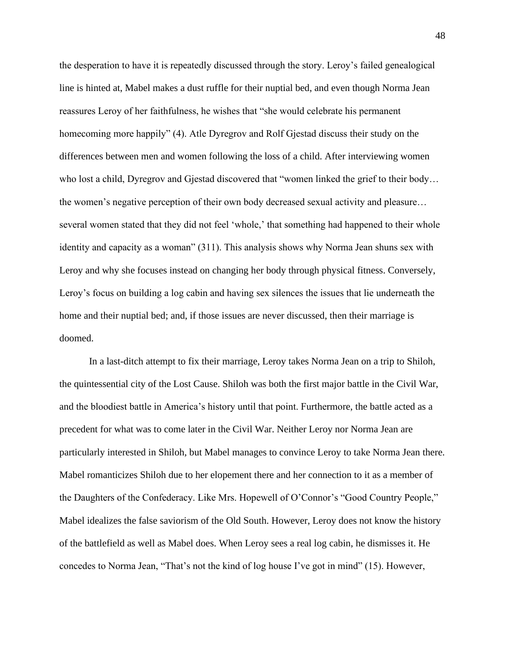the desperation to have it is repeatedly discussed through the story. Leroy's failed genealogical line is hinted at, Mabel makes a dust ruffle for their nuptial bed, and even though Norma Jean reassures Leroy of her faithfulness, he wishes that "she would celebrate his permanent homecoming more happily" (4). Atle Dyregrov and Rolf Gjestad discuss their study on the differences between men and women following the loss of a child. After interviewing women who lost a child, Dyregrov and Gjestad discovered that "women linked the grief to their body… the women's negative perception of their own body decreased sexual activity and pleasure… several women stated that they did not feel 'whole,' that something had happened to their whole identity and capacity as a woman" (311). This analysis shows why Norma Jean shuns sex with Leroy and why she focuses instead on changing her body through physical fitness. Conversely, Leroy's focus on building a log cabin and having sex silences the issues that lie underneath the home and their nuptial bed; and, if those issues are never discussed, then their marriage is doomed.

In a last-ditch attempt to fix their marriage, Leroy takes Norma Jean on a trip to Shiloh, the quintessential city of the Lost Cause. Shiloh was both the first major battle in the Civil War, and the bloodiest battle in America's history until that point. Furthermore, the battle acted as a precedent for what was to come later in the Civil War. Neither Leroy nor Norma Jean are particularly interested in Shiloh, but Mabel manages to convince Leroy to take Norma Jean there. Mabel romanticizes Shiloh due to her elopement there and her connection to it as a member of the Daughters of the Confederacy. Like Mrs. Hopewell of O'Connor's "Good Country People," Mabel idealizes the false saviorism of the Old South. However, Leroy does not know the history of the battlefield as well as Mabel does. When Leroy sees a real log cabin, he dismisses it. He concedes to Norma Jean, "That's not the kind of log house I've got in mind" (15). However,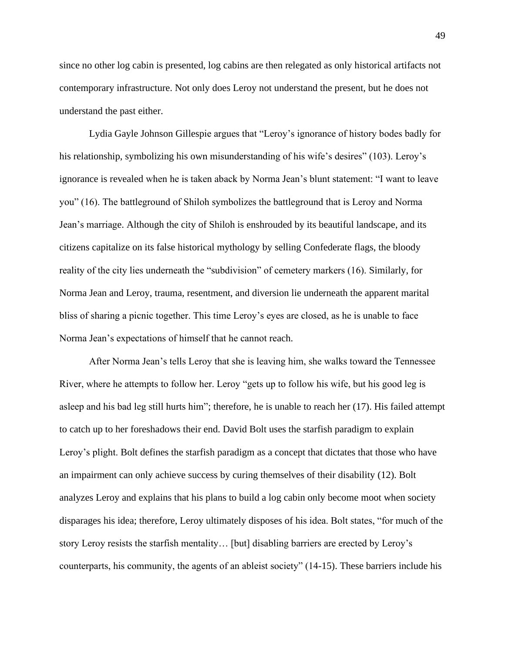since no other log cabin is presented, log cabins are then relegated as only historical artifacts not contemporary infrastructure. Not only does Leroy not understand the present, but he does not understand the past either.

Lydia Gayle Johnson Gillespie argues that "Leroy's ignorance of history bodes badly for his relationship, symbolizing his own misunderstanding of his wife's desires" (103). Leroy's ignorance is revealed when he is taken aback by Norma Jean's blunt statement: "I want to leave you" (16). The battleground of Shiloh symbolizes the battleground that is Leroy and Norma Jean's marriage. Although the city of Shiloh is enshrouded by its beautiful landscape, and its citizens capitalize on its false historical mythology by selling Confederate flags, the bloody reality of the city lies underneath the "subdivision" of cemetery markers (16). Similarly, for Norma Jean and Leroy, trauma, resentment, and diversion lie underneath the apparent marital bliss of sharing a picnic together. This time Leroy's eyes are closed, as he is unable to face Norma Jean's expectations of himself that he cannot reach.

After Norma Jean's tells Leroy that she is leaving him, she walks toward the Tennessee River, where he attempts to follow her. Leroy "gets up to follow his wife, but his good leg is asleep and his bad leg still hurts him"; therefore, he is unable to reach her (17). His failed attempt to catch up to her foreshadows their end. David Bolt uses the starfish paradigm to explain Leroy's plight. Bolt defines the starfish paradigm as a concept that dictates that those who have an impairment can only achieve success by curing themselves of their disability (12). Bolt analyzes Leroy and explains that his plans to build a log cabin only become moot when society disparages his idea; therefore, Leroy ultimately disposes of his idea. Bolt states, "for much of the story Leroy resists the starfish mentality… [but] disabling barriers are erected by Leroy's counterparts, his community, the agents of an ableist society" (14-15). These barriers include his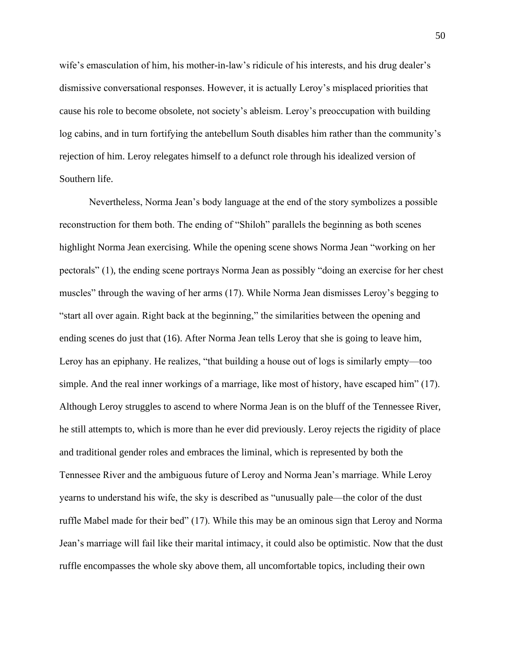wife's emasculation of him, his mother-in-law's ridicule of his interests, and his drug dealer's dismissive conversational responses. However, it is actually Leroy's misplaced priorities that cause his role to become obsolete, not society's ableism. Leroy's preoccupation with building log cabins, and in turn fortifying the antebellum South disables him rather than the community's rejection of him. Leroy relegates himself to a defunct role through his idealized version of Southern life.

Nevertheless, Norma Jean's body language at the end of the story symbolizes a possible reconstruction for them both. The ending of "Shiloh" parallels the beginning as both scenes highlight Norma Jean exercising. While the opening scene shows Norma Jean "working on her pectorals" (1), the ending scene portrays Norma Jean as possibly "doing an exercise for her chest muscles" through the waving of her arms (17). While Norma Jean dismisses Leroy's begging to "start all over again. Right back at the beginning," the similarities between the opening and ending scenes do just that (16). After Norma Jean tells Leroy that she is going to leave him, Leroy has an epiphany. He realizes, "that building a house out of logs is similarly empty—too simple. And the real inner workings of a marriage, like most of history, have escaped him" (17). Although Leroy struggles to ascend to where Norma Jean is on the bluff of the Tennessee River, he still attempts to, which is more than he ever did previously. Leroy rejects the rigidity of place and traditional gender roles and embraces the liminal, which is represented by both the Tennessee River and the ambiguous future of Leroy and Norma Jean's marriage. While Leroy yearns to understand his wife, the sky is described as "unusually pale—the color of the dust ruffle Mabel made for their bed" (17). While this may be an ominous sign that Leroy and Norma Jean's marriage will fail like their marital intimacy, it could also be optimistic. Now that the dust ruffle encompasses the whole sky above them, all uncomfortable topics, including their own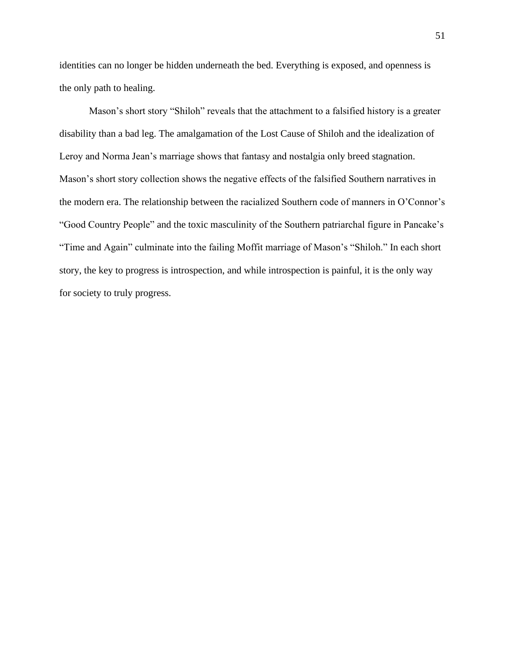identities can no longer be hidden underneath the bed. Everything is exposed, and openness is the only path to healing.

Mason's short story "Shiloh" reveals that the attachment to a falsified history is a greater disability than a bad leg. The amalgamation of the Lost Cause of Shiloh and the idealization of Leroy and Norma Jean's marriage shows that fantasy and nostalgia only breed stagnation. Mason's short story collection shows the negative effects of the falsified Southern narratives in the modern era. The relationship between the racialized Southern code of manners in O'Connor's "Good Country People" and the toxic masculinity of the Southern patriarchal figure in Pancake's "Time and Again" culminate into the failing Moffit marriage of Mason's "Shiloh." In each short story, the key to progress is introspection, and while introspection is painful, it is the only way for society to truly progress.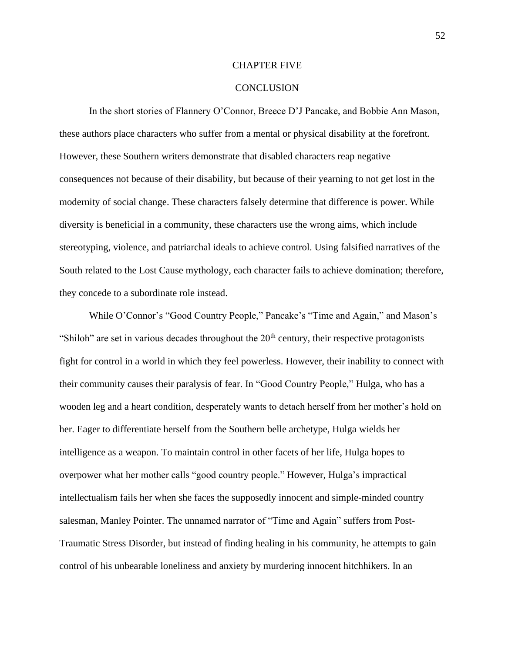#### CHAPTER FIVE

#### **CONCLUSION**

In the short stories of Flannery O'Connor, Breece D'J Pancake, and Bobbie Ann Mason, these authors place characters who suffer from a mental or physical disability at the forefront. However, these Southern writers demonstrate that disabled characters reap negative consequences not because of their disability, but because of their yearning to not get lost in the modernity of social change. These characters falsely determine that difference is power. While diversity is beneficial in a community, these characters use the wrong aims, which include stereotyping, violence, and patriarchal ideals to achieve control. Using falsified narratives of the South related to the Lost Cause mythology, each character fails to achieve domination; therefore, they concede to a subordinate role instead.

While O'Connor's "Good Country People," Pancake's "Time and Again," and Mason's "Shiloh" are set in various decades throughout the  $20<sup>th</sup>$  century, their respective protagonists fight for control in a world in which they feel powerless. However, their inability to connect with their community causes their paralysis of fear. In "Good Country People," Hulga, who has a wooden leg and a heart condition, desperately wants to detach herself from her mother's hold on her. Eager to differentiate herself from the Southern belle archetype, Hulga wields her intelligence as a weapon. To maintain control in other facets of her life, Hulga hopes to overpower what her mother calls "good country people." However, Hulga's impractical intellectualism fails her when she faces the supposedly innocent and simple-minded country salesman, Manley Pointer. The unnamed narrator of "Time and Again" suffers from Post-Traumatic Stress Disorder, but instead of finding healing in his community, he attempts to gain control of his unbearable loneliness and anxiety by murdering innocent hitchhikers. In an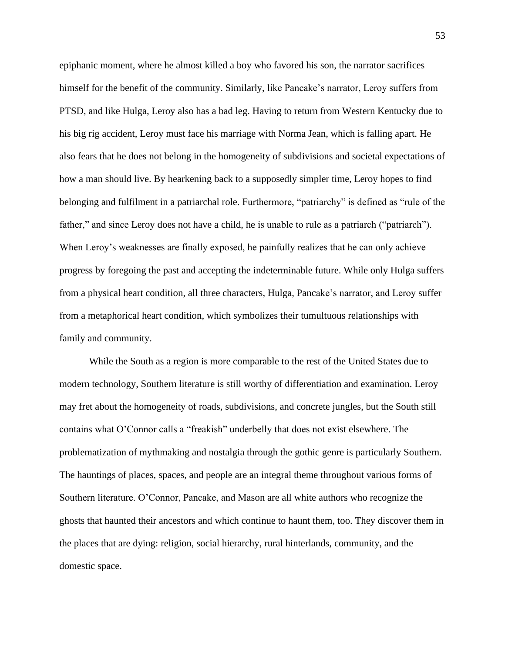epiphanic moment, where he almost killed a boy who favored his son, the narrator sacrifices himself for the benefit of the community. Similarly, like Pancake's narrator, Leroy suffers from PTSD, and like Hulga, Leroy also has a bad leg. Having to return from Western Kentucky due to his big rig accident, Leroy must face his marriage with Norma Jean, which is falling apart. He also fears that he does not belong in the homogeneity of subdivisions and societal expectations of how a man should live. By hearkening back to a supposedly simpler time, Leroy hopes to find belonging and fulfilment in a patriarchal role. Furthermore, "patriarchy" is defined as "rule of the father," and since Leroy does not have a child, he is unable to rule as a patriarch ("patriarch"). When Leroy's weaknesses are finally exposed, he painfully realizes that he can only achieve progress by foregoing the past and accepting the indeterminable future. While only Hulga suffers from a physical heart condition, all three characters, Hulga, Pancake's narrator, and Leroy suffer from a metaphorical heart condition, which symbolizes their tumultuous relationships with family and community.

While the South as a region is more comparable to the rest of the United States due to modern technology, Southern literature is still worthy of differentiation and examination. Leroy may fret about the homogeneity of roads, subdivisions, and concrete jungles, but the South still contains what O'Connor calls a "freakish" underbelly that does not exist elsewhere. The problematization of mythmaking and nostalgia through the gothic genre is particularly Southern. The hauntings of places, spaces, and people are an integral theme throughout various forms of Southern literature. O'Connor, Pancake, and Mason are all white authors who recognize the ghosts that haunted their ancestors and which continue to haunt them, too. They discover them in the places that are dying: religion, social hierarchy, rural hinterlands, community, and the domestic space.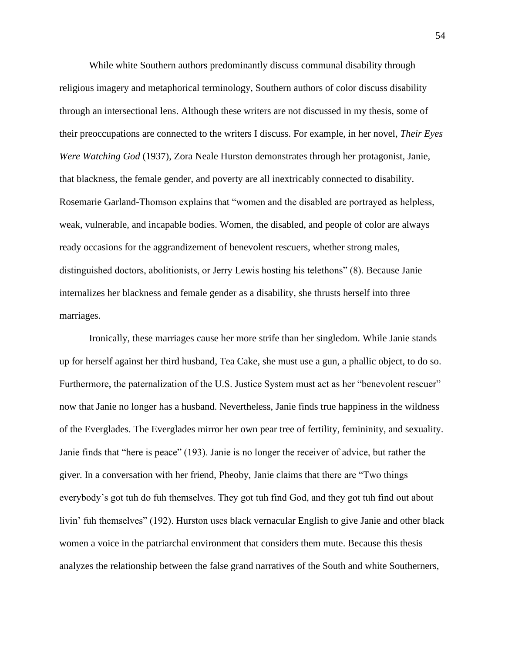While white Southern authors predominantly discuss communal disability through religious imagery and metaphorical terminology, Southern authors of color discuss disability through an intersectional lens. Although these writers are not discussed in my thesis, some of their preoccupations are connected to the writers I discuss. For example, in her novel, *Their Eyes Were Watching God* (1937), Zora Neale Hurston demonstrates through her protagonist, Janie, that blackness, the female gender, and poverty are all inextricably connected to disability. Rosemarie Garland-Thomson explains that "women and the disabled are portrayed as helpless, weak, vulnerable, and incapable bodies. Women, the disabled, and people of color are always ready occasions for the aggrandizement of benevolent rescuers, whether strong males, distinguished doctors, abolitionists, or Jerry Lewis hosting his telethons" (8). Because Janie internalizes her blackness and female gender as a disability, she thrusts herself into three marriages.

Ironically, these marriages cause her more strife than her singledom. While Janie stands up for herself against her third husband, Tea Cake, she must use a gun, a phallic object, to do so. Furthermore, the paternalization of the U.S. Justice System must act as her "benevolent rescuer" now that Janie no longer has a husband. Nevertheless, Janie finds true happiness in the wildness of the Everglades. The Everglades mirror her own pear tree of fertility, femininity, and sexuality. Janie finds that "here is peace" (193). Janie is no longer the receiver of advice, but rather the giver. In a conversation with her friend, Pheoby, Janie claims that there are "Two things everybody's got tuh do fuh themselves. They got tuh find God, and they got tuh find out about livin' fuh themselves" (192). Hurston uses black vernacular English to give Janie and other black women a voice in the patriarchal environment that considers them mute. Because this thesis analyzes the relationship between the false grand narratives of the South and white Southerners,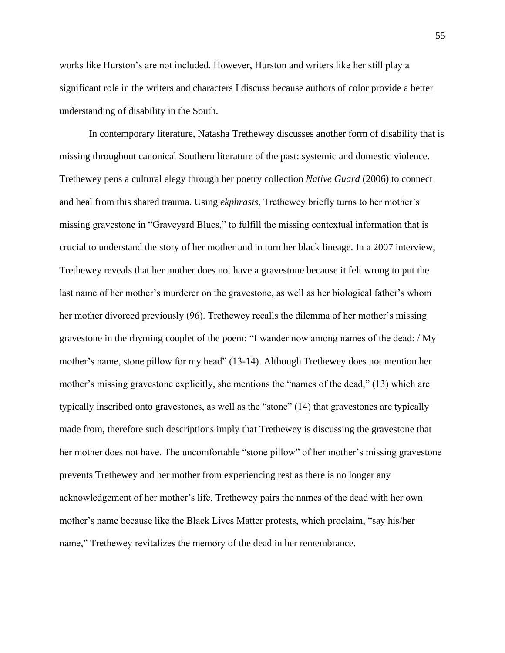works like Hurston's are not included. However, Hurston and writers like her still play a significant role in the writers and characters I discuss because authors of color provide a better understanding of disability in the South.

In contemporary literature, Natasha Trethewey discusses another form of disability that is missing throughout canonical Southern literature of the past: systemic and domestic violence. Trethewey pens a cultural elegy through her poetry collection *Native Guard* (2006) to connect and heal from this shared trauma. Using *ekphrasis*, Trethewey briefly turns to her mother's missing gravestone in "Graveyard Blues," to fulfill the missing contextual information that is crucial to understand the story of her mother and in turn her black lineage. In a 2007 interview, Trethewey reveals that her mother does not have a gravestone because it felt wrong to put the last name of her mother's murderer on the gravestone, as well as her biological father's whom her mother divorced previously (96). Trethewey recalls the dilemma of her mother's missing gravestone in the rhyming couplet of the poem: "I wander now among names of the dead: / My mother's name, stone pillow for my head" (13-14). Although Trethewey does not mention her mother's missing gravestone explicitly, she mentions the "names of the dead," (13) which are typically inscribed onto gravestones, as well as the "stone" (14) that gravestones are typically made from, therefore such descriptions imply that Trethewey is discussing the gravestone that her mother does not have. The uncomfortable "stone pillow" of her mother's missing gravestone prevents Trethewey and her mother from experiencing rest as there is no longer any acknowledgement of her mother's life. Trethewey pairs the names of the dead with her own mother's name because like the Black Lives Matter protests, which proclaim, "say his/her name," Trethewey revitalizes the memory of the dead in her remembrance.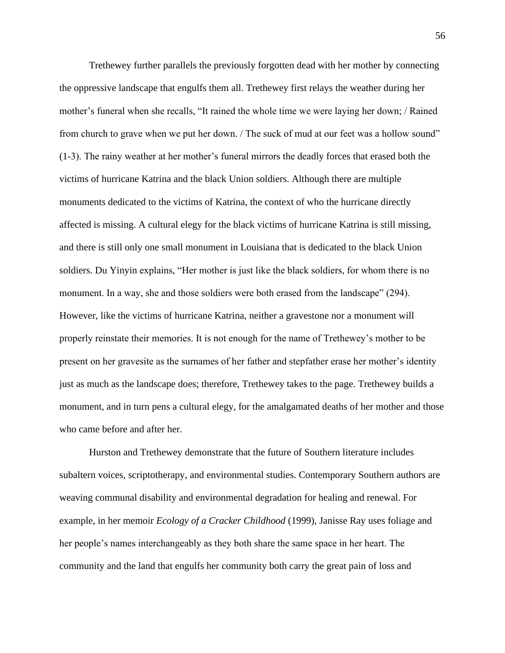Trethewey further parallels the previously forgotten dead with her mother by connecting the oppressive landscape that engulfs them all. Trethewey first relays the weather during her mother's funeral when she recalls, "It rained the whole time we were laying her down; / Rained from church to grave when we put her down. / The suck of mud at our feet was a hollow sound" (1-3). The rainy weather at her mother's funeral mirrors the deadly forces that erased both the victims of hurricane Katrina and the black Union soldiers. Although there are multiple monuments dedicated to the victims of Katrina, the context of who the hurricane directly affected is missing. A cultural elegy for the black victims of hurricane Katrina is still missing, and there is still only one small monument in Louisiana that is dedicated to the black Union soldiers. Du Yinyin explains, "Her mother is just like the black soldiers, for whom there is no monument. In a way, she and those soldiers were both erased from the landscape" (294). However, like the victims of hurricane Katrina, neither a gravestone nor a monument will properly reinstate their memories. It is not enough for the name of Trethewey's mother to be present on her gravesite as the surnames of her father and stepfather erase her mother's identity just as much as the landscape does; therefore, Trethewey takes to the page. Trethewey builds a monument, and in turn pens a cultural elegy, for the amalgamated deaths of her mother and those who came before and after her.

Hurston and Trethewey demonstrate that the future of Southern literature includes subaltern voices, scriptotherapy, and environmental studies. Contemporary Southern authors are weaving communal disability and environmental degradation for healing and renewal. For example, in her memoir *Ecology of a Cracker Childhood* (1999), Janisse Ray uses foliage and her people's names interchangeably as they both share the same space in her heart. The community and the land that engulfs her community both carry the great pain of loss and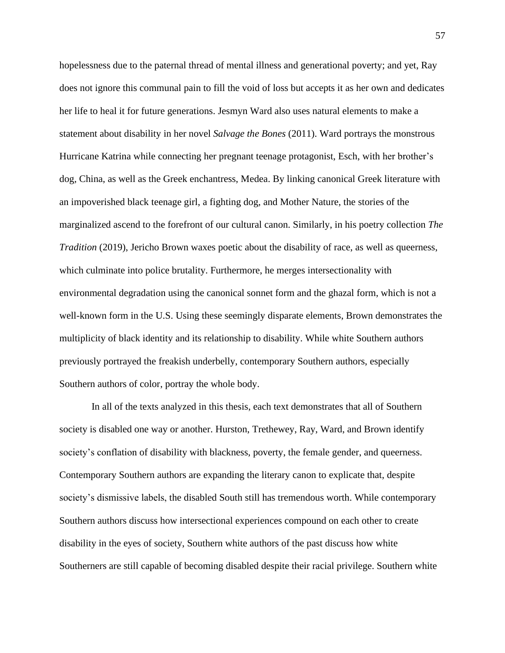hopelessness due to the paternal thread of mental illness and generational poverty; and yet, Ray does not ignore this communal pain to fill the void of loss but accepts it as her own and dedicates her life to heal it for future generations. Jesmyn Ward also uses natural elements to make a statement about disability in her novel *Salvage the Bones* (2011). Ward portrays the monstrous Hurricane Katrina while connecting her pregnant teenage protagonist, Esch, with her brother's dog, China, as well as the Greek enchantress, Medea. By linking canonical Greek literature with an impoverished black teenage girl, a fighting dog, and Mother Nature, the stories of the marginalized ascend to the forefront of our cultural canon. Similarly, in his poetry collection *The Tradition* (2019), Jericho Brown waxes poetic about the disability of race, as well as queerness, which culminate into police brutality. Furthermore, he merges intersectionality with environmental degradation using the canonical sonnet form and the ghazal form, which is not a well-known form in the U.S. Using these seemingly disparate elements, Brown demonstrates the multiplicity of black identity and its relationship to disability. While white Southern authors previously portrayed the freakish underbelly, contemporary Southern authors, especially Southern authors of color, portray the whole body.

In all of the texts analyzed in this thesis, each text demonstrates that all of Southern society is disabled one way or another. Hurston, Trethewey, Ray, Ward, and Brown identify society's conflation of disability with blackness, poverty, the female gender, and queerness. Contemporary Southern authors are expanding the literary canon to explicate that, despite society's dismissive labels, the disabled South still has tremendous worth. While contemporary Southern authors discuss how intersectional experiences compound on each other to create disability in the eyes of society, Southern white authors of the past discuss how white Southerners are still capable of becoming disabled despite their racial privilege. Southern white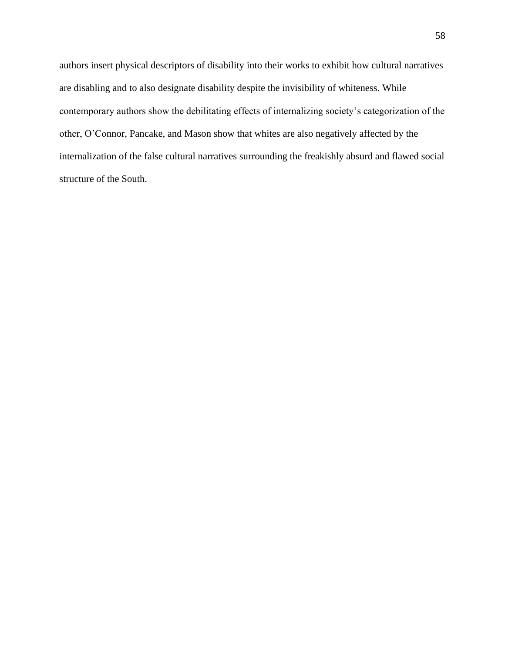authors insert physical descriptors of disability into their works to exhibit how cultural narratives are disabling and to also designate disability despite the invisibility of whiteness. While contemporary authors show the debilitating effects of internalizing society's categorization of the other, O'Connor, Pancake, and Mason show that whites are also negatively affected by the internalization of the false cultural narratives surrounding the freakishly absurd and flawed social structure of the South.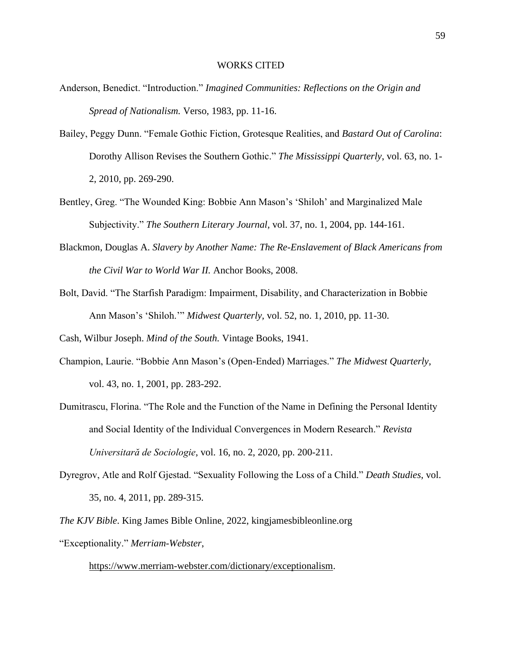- Anderson, Benedict. "Introduction." *Imagined Communities: Reflections on the Origin and Spread of Nationalism.* Verso, 1983, pp. 11-16.
- Bailey, Peggy Dunn. "Female Gothic Fiction, Grotesque Realities, and *Bastard Out of Carolina*: Dorothy Allison Revises the Southern Gothic." *The Mississippi Quarterly*, vol. 63, no. 1- 2, 2010, pp. 269-290.
- Bentley, Greg. "The Wounded King: Bobbie Ann Mason's 'Shiloh' and Marginalized Male Subjectivity." *The Southern Literary Journal*, vol. 37, no. 1, 2004, pp. 144-161.
- Blackmon, Douglas A. *Slavery by Another Name: The Re-Enslavement of Black Americans from the Civil War to World War II.* Anchor Books, 2008.
- Bolt, David. "The Starfish Paradigm: Impairment, Disability, and Characterization in Bobbie Ann Mason's 'Shiloh.'" *Midwest Quarterly,* vol. 52, no. 1, 2010, pp. 11-30.

Cash, Wilbur Joseph. *Mind of the South.* Vintage Books, 1941.

- Champion, Laurie. "Bobbie Ann Mason's (Open-Ended) Marriages." *The Midwest Quarterly*, vol. 43, no. 1, 2001, pp. 283-292.
- Dumitrascu, Florina. "The Role and the Function of the Name in Defining the Personal Identity and Social Identity of the Individual Convergences in Modern Research." *Revista Universitară de Sociologie*, vol. 16, no. 2, 2020, pp. 200-211.
- Dyregrov, Atle and Rolf Gjestad. "Sexuality Following the Loss of a Child." *Death Studies*, vol. 35, no. 4, 2011, pp. 289-315.
- *The KJV Bible*. King James Bible Online, 2022, kingjamesbibleonline.org "Exceptionality." *Merriam-Webster*,

[https://www.merriam-webster.com/dictionary/exceptionalism.](about:blank)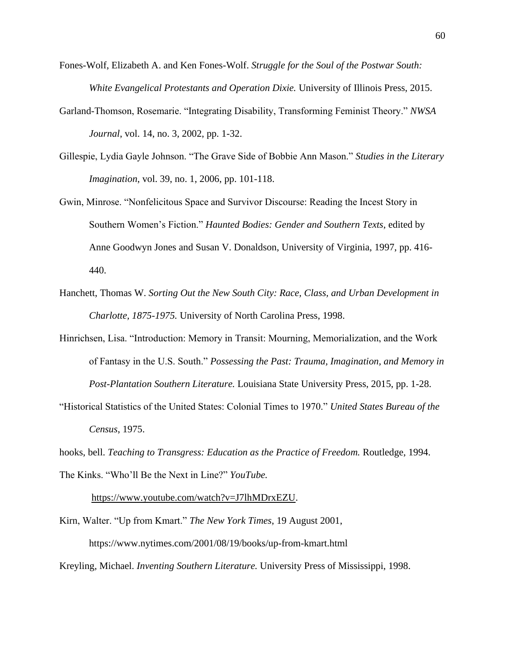- Fones-Wolf, Elizabeth A. and Ken Fones-Wolf. *Struggle for the Soul of the Postwar South: White Evangelical Protestants and Operation Dixie.* University of Illinois Press, 2015.
- Garland-Thomson, Rosemarie. "Integrating Disability, Transforming Feminist Theory." *NWSA Journal*, vol. 14, no. 3, 2002, pp. 1-32.
- Gillespie, Lydia Gayle Johnson. "The Grave Side of Bobbie Ann Mason." *Studies in the Literary Imagination*, vol. 39, no. 1, 2006, pp. 101-118.
- Gwin, Minrose. "Nonfelicitous Space and Survivor Discourse: Reading the Incest Story in Southern Women's Fiction." *Haunted Bodies: Gender and Southern Texts*, edited by Anne Goodwyn Jones and Susan V. Donaldson, University of Virginia, 1997, pp. 416- 440.
- Hanchett, Thomas W. *Sorting Out the New South City: Race, Class, and Urban Development in Charlotte, 1875-1975.* University of North Carolina Press, 1998.
- Hinrichsen, Lisa. "Introduction: Memory in Transit: Mourning, Memorialization, and the Work of Fantasy in the U.S. South." *Possessing the Past: Trauma, Imagination, and Memory in Post-Plantation Southern Literature.* Louisiana State University Press, 2015, pp. 1-28.
- "Historical Statistics of the United States: Colonial Times to 1970." *United States Bureau of the Census*, 1975.

hooks, bell. *Teaching to Transgress: Education as the Practice of Freedom.* Routledge, 1994. The Kinks. "Who'll Be the Next in Line?" *YouTube.*

[https://www.youtube.com/watch?v=J7lhMDrxEZU.](about:blank)

Kirn, Walter. "Up from Kmart." *The New York Times*, 19 August 2001,

https://www.nytimes.com/2001/08/19/books/up-from-kmart.html

Kreyling, Michael. *Inventing Southern Literature.* University Press of Mississippi, 1998.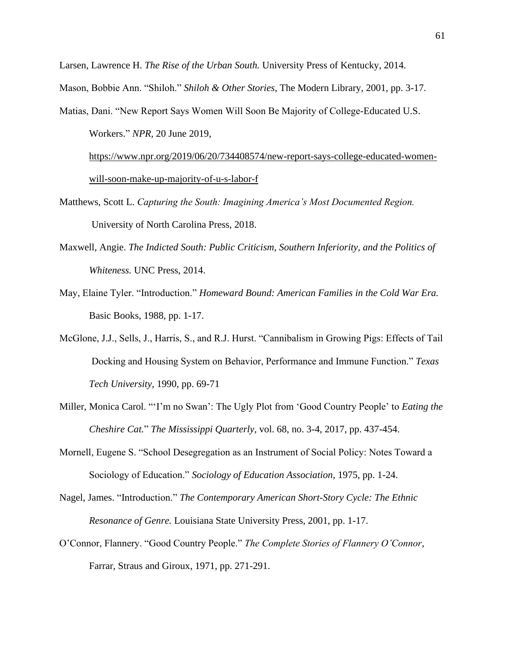Larsen, Lawrence H. *The Rise of the Urban South.* University Press of Kentucky, 2014.

Mason, Bobbie Ann. "Shiloh." *Shiloh & Other Stories*, The Modern Library, 2001, pp. 3-17.

Matias, Dani. "New Report Says Women Will Soon Be Majority of College-Educated U.S. Workers." *NPR*, 20 June 2019,

[https://www.npr.org/2019/06/20/734408574/new-report-says-college-e](about:blank)ducated-womenwill-soon-make-up-majority-of-u-s-labor-f

- Matthews, Scott L. *Capturing the South: Imagining America's Most Documented Region.* University of North Carolina Press, 2018.
- Maxwell, Angie. *The Indicted South: Public Criticism, Southern Inferiority, and the Politics of Whiteness.* UNC Press, 2014.
- May, Elaine Tyler. "Introduction." *Homeward Bound: American Families in the Cold War Era.* Basic Books, 1988, pp. 1-17.
- McGlone, J.J., Sells, J., Harris, S., and R.J. Hurst. "Cannibalism in Growing Pigs: Effects of Tail Docking and Housing System on Behavior, Performance and Immune Function." *Texas Tech University,* 1990, pp. 69-71
- Miller, Monica Carol. "'I'm no Swan': The Ugly Plot from 'Good Country People' to *Eating the Cheshire Cat.*" *The Mississippi Quarterly,* vol. 68, no. 3-4, 2017, pp. 437-454.
- Mornell, Eugene S. "School Desegregation as an Instrument of Social Policy: Notes Toward a Sociology of Education." *Sociology of Education Association,* 1975, pp. 1-24.
- Nagel, James. "Introduction." *The Contemporary American Short-Story Cycle: The Ethnic Resonance of Genre.* Louisiana State University Press, 2001, pp. 1-17.
- O'Connor, Flannery. "Good Country People." *The Complete Stories of Flannery O'Connor*, Farrar, Straus and Giroux, 1971, pp. 271-291.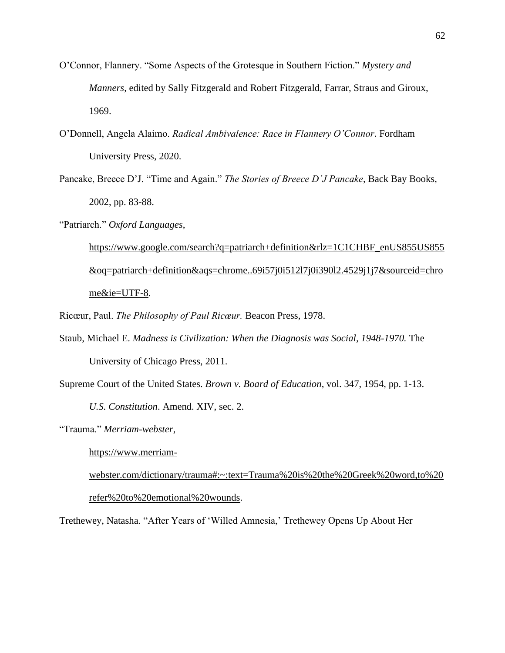- O'Connor, Flannery. "Some Aspects of the Grotesque in Southern Fiction." *Mystery and Manners*, edited by Sally Fitzgerald and Robert Fitzgerald, Farrar, Straus and Giroux, 1969.
- O'Donnell, Angela Alaimo. *Radical Ambivalence: Race in Flannery O'Connor*. Fordham University Press, 2020.
- Pancake, Breece D'J. "Time and Again." *The Stories of Breece D'J Pancake*, Back Bay Books, 2002, pp. 83-88.
- "Patriarch." *Oxford Languages*,

[https://www.google.com/search?q=patriarch+definition&rlz=1C1CHBF\\_enUS855US855](https://www.google.com/search?q=patriarch+definition&rlz=1C1CHBF_enUS855US855&oq=patriarch+definition&aqs=chrome..69i57j0i512l7j0i390l2.4529j1j7&sourceid=chrome&ie=UTF-) [&oq=patriarch+definition&aqs=chrome..69i57j0i512l7j0i390l2.4529j1j7&sourceid=chro](https://www.google.com/search?q=patriarch+definition&rlz=1C1CHBF_enUS855US855&oq=patriarch+definition&aqs=chrome..69i57j0i512l7j0i390l2.4529j1j7&sourceid=chrome&ie=UTF-) [me&ie=UTF-8](https://www.google.com/search?q=patriarch+definition&rlz=1C1CHBF_enUS855US855&oq=patriarch+definition&aqs=chrome..69i57j0i512l7j0i390l2.4529j1j7&sourceid=chrome&ie=UTF-).

Ricœur, Paul. *The Philosophy of Paul Ricœur.* Beacon Press, 1978.

Staub, Michael E. *Madness is Civilization: When the Diagnosis was Social, 1948-1970.* The University of Chicago Press, 2011.

Supreme Court of the United States. *Brown v. Board of Education*, vol. 347, 1954, pp. 1-13.

*U.S. Constitution*. Amend. XIV, sec. 2.

"Trauma." *Merriam-webster*,

[https://www.merriam-](about:blank#:~:text=Trauma%20is%20the%20Greek%20word,to%20refer%20to%20emotional%20wounds)

[webster.com/dictionary/trauma#:~:text=Trauma%20is%20the%20Greek%20word,to%20](about:blank#:~:text=Trauma%20is%20the%20Greek%20word,to%20refer%20to%20emotional%20wounds) [refer%20to%20emotional%20wounds.](about:blank#:~:text=Trauma%20is%20the%20Greek%20word,to%20refer%20to%20emotional%20wounds)

Trethewey, Natasha. "After Years of 'Willed Amnesia,' Trethewey Opens Up About Her